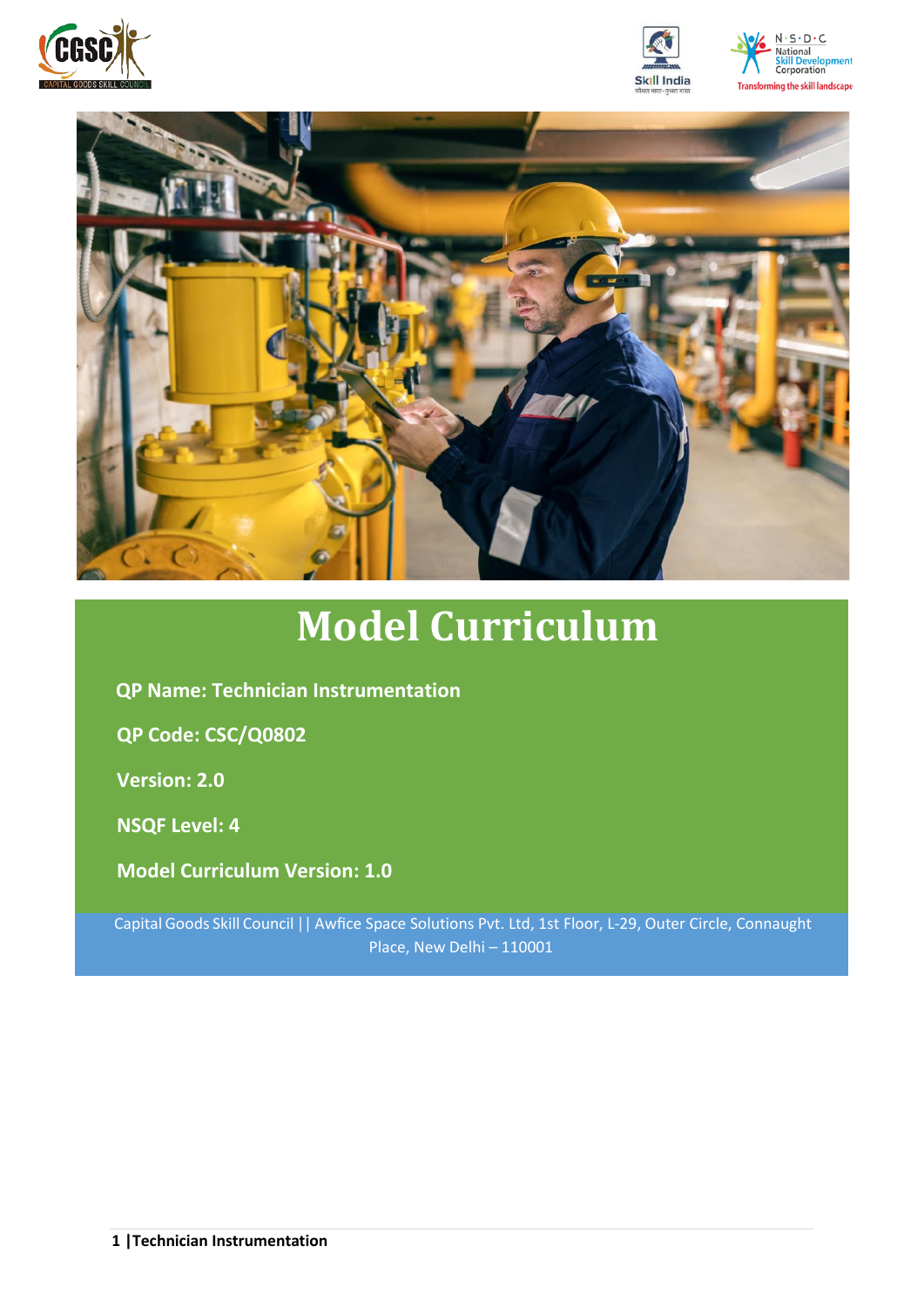







# **Model Curriculum**

**QP Name: Technician Instrumentation**

**QP Code: CSC/Q0802**

**Version: 2.0**

**NSQF Level: 4**

**Model Curriculum Version: 1.0**

Capital Goods Skill Council || Awfice Space Solutions Pvt. Ltd, 1st Floor, L-29, Outer Circle, Connaught Place, New Delhi – 110001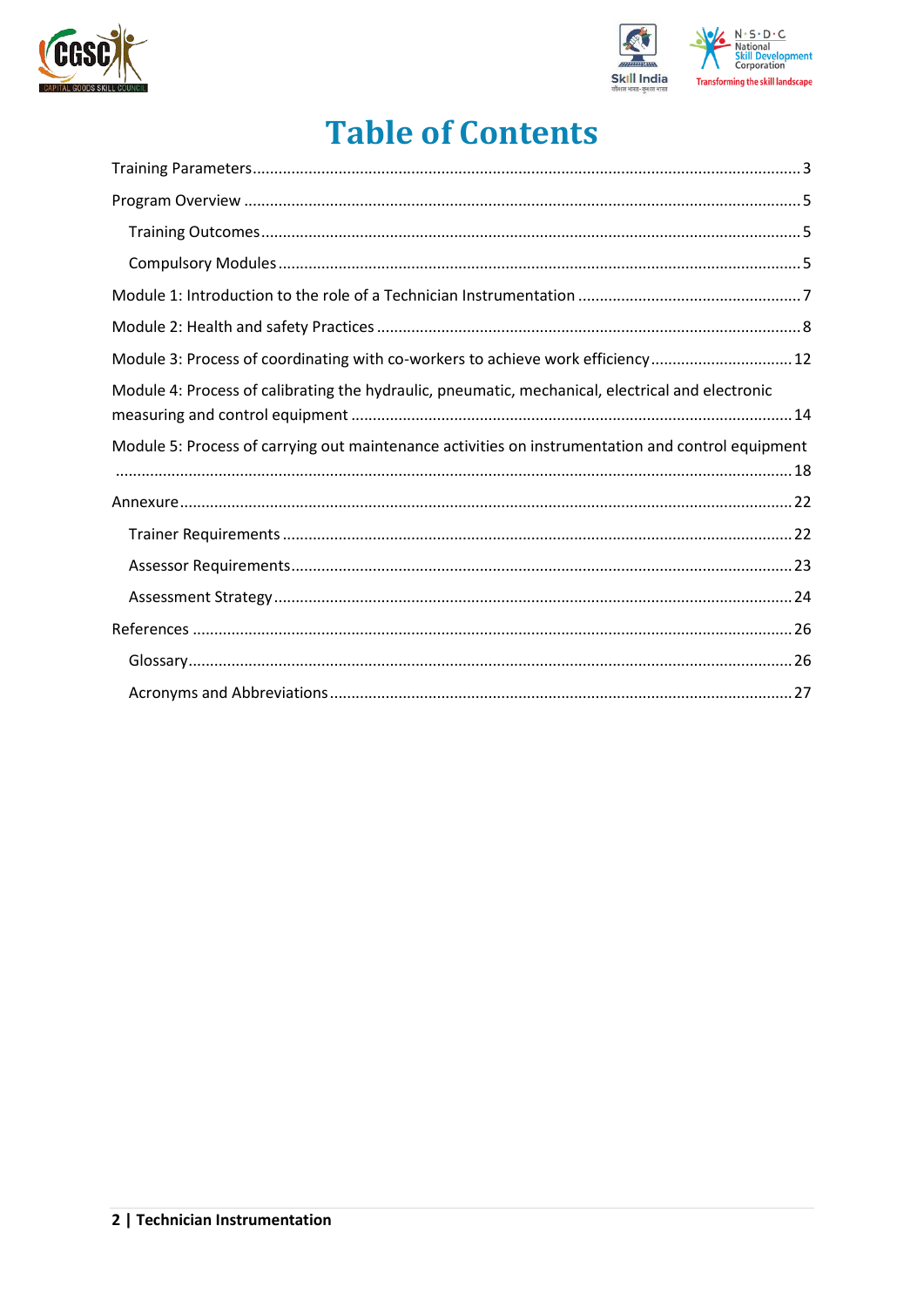



## **Table of Contents**

| Module 3: Process of coordinating with co-workers to achieve work efficiency 12                   |
|---------------------------------------------------------------------------------------------------|
| Module 4: Process of calibrating the hydraulic, pneumatic, mechanical, electrical and electronic  |
| Module 5: Process of carrying out maintenance activities on instrumentation and control equipment |
|                                                                                                   |
|                                                                                                   |
|                                                                                                   |
|                                                                                                   |
|                                                                                                   |
|                                                                                                   |
|                                                                                                   |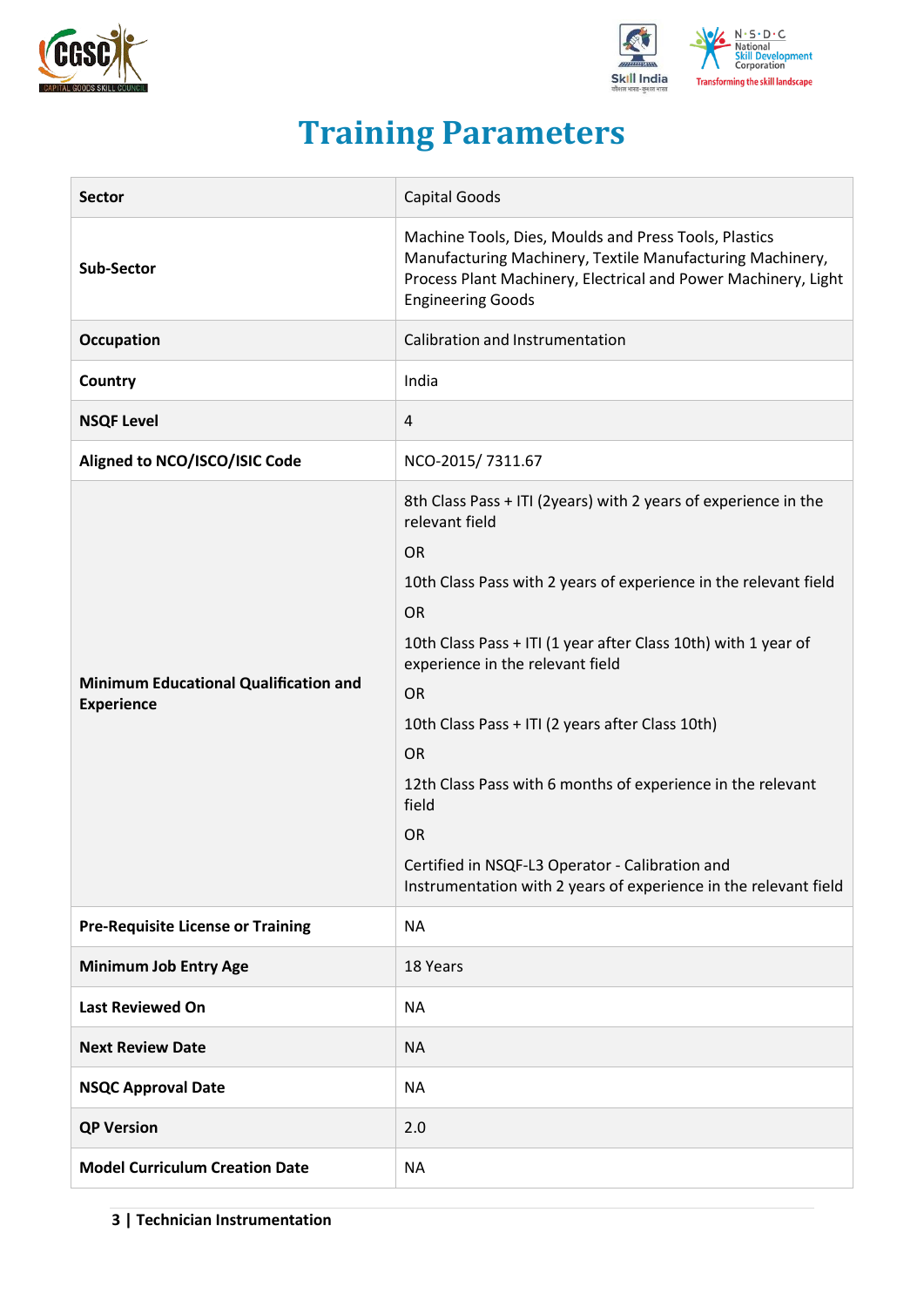



## **Training Parameters**

<span id="page-2-0"></span>

| <b>Sector</b>                                                     | <b>Capital Goods</b>                                                                                                                                                                                                                                                                                                                                                                                                                                                                                                                                                            |
|-------------------------------------------------------------------|---------------------------------------------------------------------------------------------------------------------------------------------------------------------------------------------------------------------------------------------------------------------------------------------------------------------------------------------------------------------------------------------------------------------------------------------------------------------------------------------------------------------------------------------------------------------------------|
| <b>Sub-Sector</b>                                                 | Machine Tools, Dies, Moulds and Press Tools, Plastics<br>Manufacturing Machinery, Textile Manufacturing Machinery,<br>Process Plant Machinery, Electrical and Power Machinery, Light<br><b>Engineering Goods</b>                                                                                                                                                                                                                                                                                                                                                                |
| Occupation                                                        | Calibration and Instrumentation                                                                                                                                                                                                                                                                                                                                                                                                                                                                                                                                                 |
| Country                                                           | India                                                                                                                                                                                                                                                                                                                                                                                                                                                                                                                                                                           |
| <b>NSQF Level</b>                                                 | 4                                                                                                                                                                                                                                                                                                                                                                                                                                                                                                                                                                               |
| Aligned to NCO/ISCO/ISIC Code                                     | NCO-2015/7311.67                                                                                                                                                                                                                                                                                                                                                                                                                                                                                                                                                                |
| <b>Minimum Educational Qualification and</b><br><b>Experience</b> | 8th Class Pass + ITI (2years) with 2 years of experience in the<br>relevant field<br><b>OR</b><br>10th Class Pass with 2 years of experience in the relevant field<br><b>OR</b><br>10th Class Pass + ITI (1 year after Class 10th) with 1 year of<br>experience in the relevant field<br><b>OR</b><br>10th Class Pass + ITI (2 years after Class 10th)<br><b>OR</b><br>12th Class Pass with 6 months of experience in the relevant<br>field<br><b>OR</b><br>Certified in NSQF-L3 Operator - Calibration and<br>Instrumentation with 2 years of experience in the relevant field |
| <b>Pre-Requisite License or Training</b>                          | <b>NA</b>                                                                                                                                                                                                                                                                                                                                                                                                                                                                                                                                                                       |
| <b>Minimum Job Entry Age</b>                                      | 18 Years                                                                                                                                                                                                                                                                                                                                                                                                                                                                                                                                                                        |
| <b>Last Reviewed On</b>                                           | <b>NA</b>                                                                                                                                                                                                                                                                                                                                                                                                                                                                                                                                                                       |
| <b>Next Review Date</b>                                           | <b>NA</b>                                                                                                                                                                                                                                                                                                                                                                                                                                                                                                                                                                       |
| <b>NSQC Approval Date</b>                                         | <b>NA</b>                                                                                                                                                                                                                                                                                                                                                                                                                                                                                                                                                                       |
| <b>QP Version</b>                                                 | 2.0                                                                                                                                                                                                                                                                                                                                                                                                                                                                                                                                                                             |
| <b>Model Curriculum Creation Date</b>                             | <b>NA</b>                                                                                                                                                                                                                                                                                                                                                                                                                                                                                                                                                                       |

**3 | Technician Instrumentation**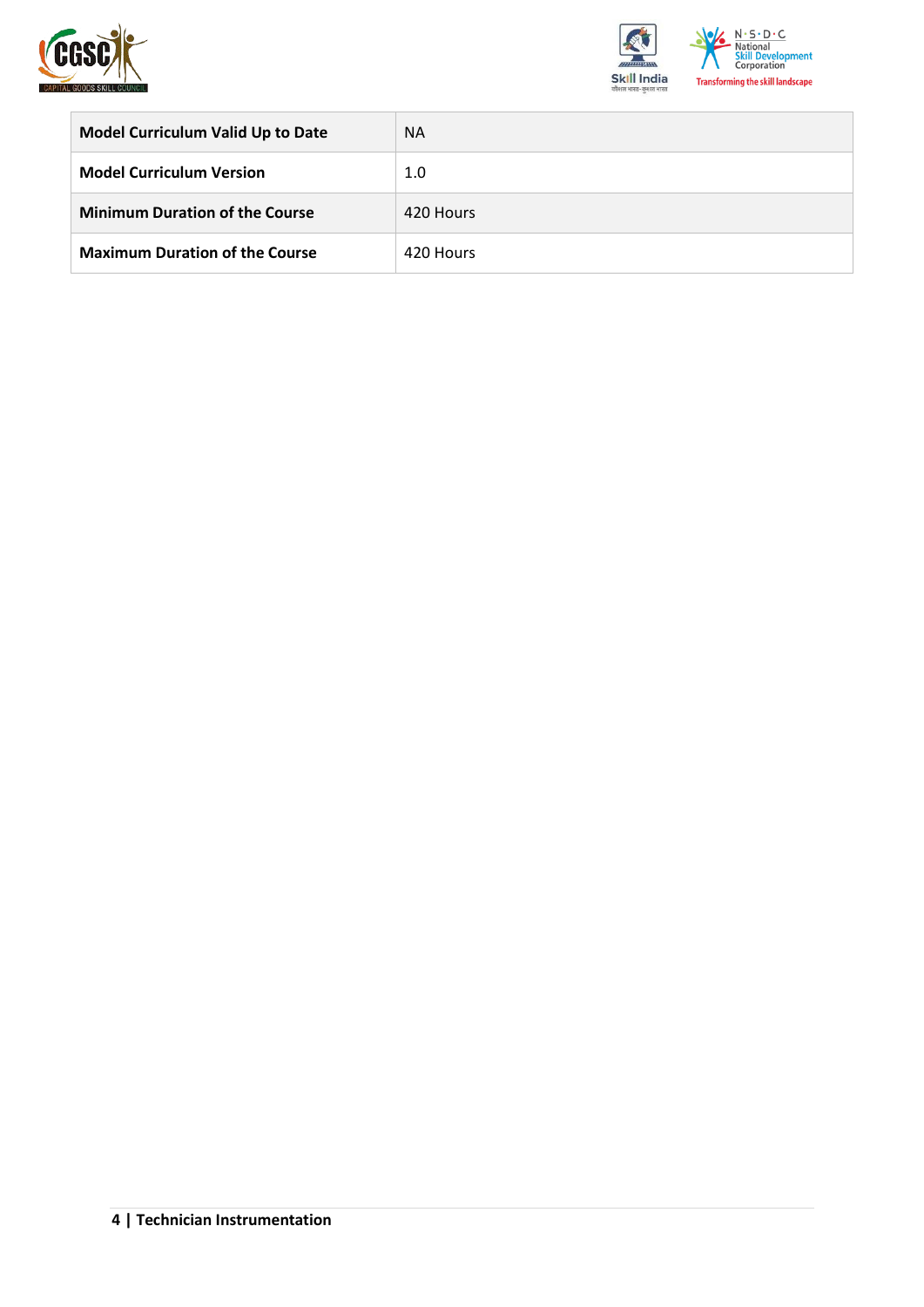



| <b>Model Curriculum Valid Up to Date</b> | <b>NA</b> |
|------------------------------------------|-----------|
| <b>Model Curriculum Version</b>          | 1.0       |
| <b>Minimum Duration of the Course</b>    | 420 Hours |
| <b>Maximum Duration of the Course</b>    | 420 Hours |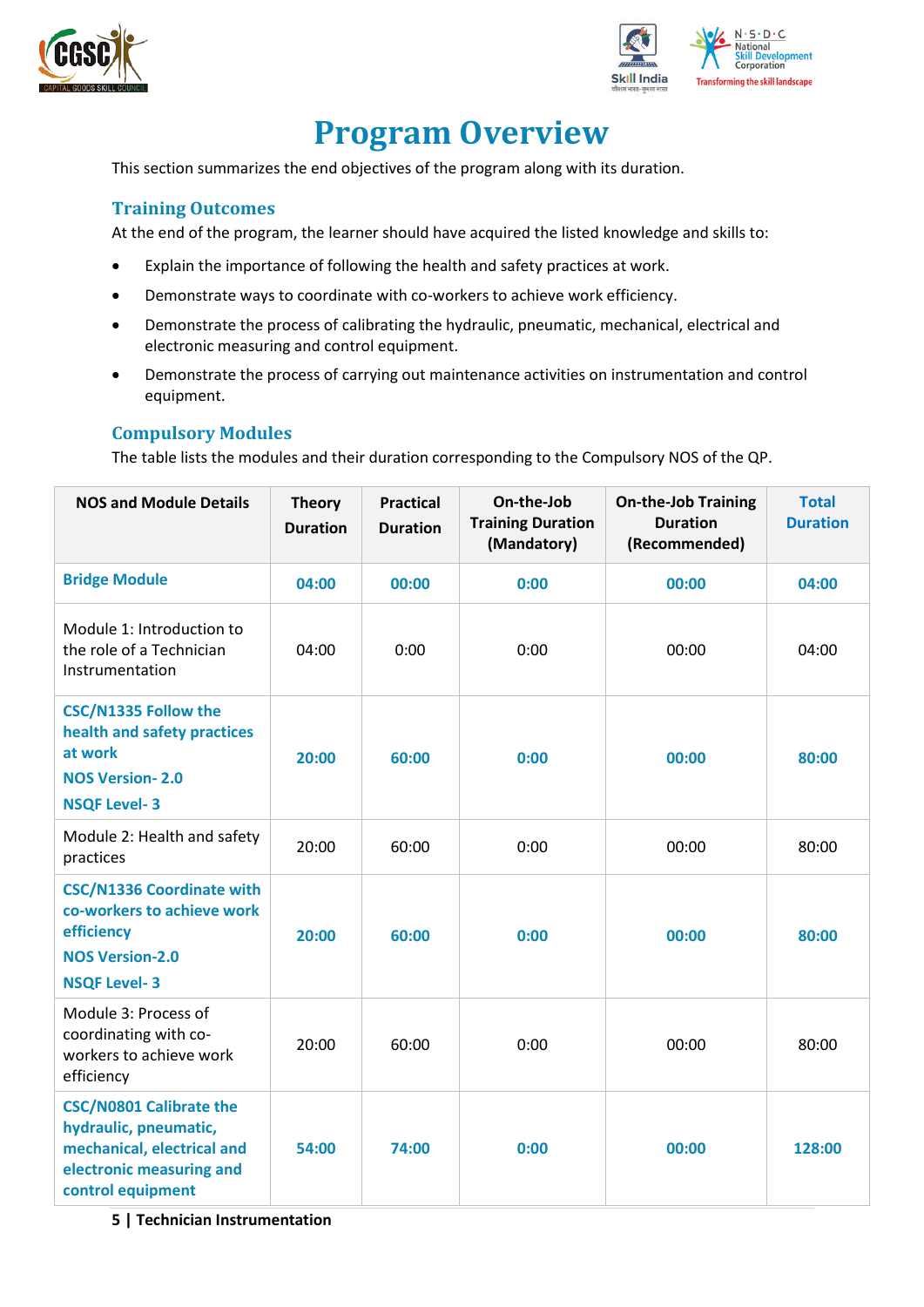



## **Program Overview**

<span id="page-4-0"></span>This section summarizes the end objectives of the program along with its duration.

#### <span id="page-4-1"></span>**Training Outcomes**

At the end of the program, the learner should have acquired the listed knowledge and skills to:

- Explain the importance of following the health and safety practices at work.
- Demonstrate ways to coordinate with co-workers to achieve work efficiency.
- Demonstrate the process of calibrating the hydraulic, pneumatic, mechanical, electrical and electronic measuring and control equipment.
- Demonstrate the process of carrying out maintenance activities on instrumentation and control equipment.

#### <span id="page-4-2"></span>**Compulsory Modules**

The table lists the modules and their duration corresponding to the Compulsory NOS of the QP.

| <b>NOS and Module Details</b>                                                                                                          | <b>Theory</b><br><b>Duration</b> | <b>Practical</b><br><b>Duration</b> | On-the-Job<br><b>Training Duration</b><br>(Mandatory) | <b>On-the-Job Training</b><br><b>Duration</b><br>(Recommended) | <b>Total</b><br><b>Duration</b> |
|----------------------------------------------------------------------------------------------------------------------------------------|----------------------------------|-------------------------------------|-------------------------------------------------------|----------------------------------------------------------------|---------------------------------|
| <b>Bridge Module</b>                                                                                                                   | 04:00                            | 00:00                               | 0:00                                                  | 00:00                                                          | 04:00                           |
| Module 1: Introduction to<br>the role of a Technician<br>Instrumentation                                                               | 04:00                            | 0:00                                | 0:00                                                  | 00:00                                                          | 04:00                           |
| <b>CSC/N1335 Follow the</b><br>health and safety practices<br>at work<br><b>NOS Version-2.0</b><br><b>NSQF Level-3</b>                 | 20:00                            | 60:00                               | 0:00                                                  | 00:00                                                          | 80:00                           |
| Module 2: Health and safety<br>practices                                                                                               | 20:00                            | 60:00                               | 0:00                                                  | 00:00                                                          | 80:00                           |
| <b>CSC/N1336 Coordinate with</b><br>co-workers to achieve work<br>efficiency<br><b>NOS Version-2.0</b><br><b>NSQF Level-3</b>          | 20:00                            | 60:00                               | 0:00                                                  | 00:00                                                          | 80:00                           |
| Module 3: Process of<br>coordinating with co-<br>workers to achieve work<br>efficiency                                                 | 20:00                            | 60:00                               | 0:00                                                  | 00:00                                                          | 80:00                           |
| <b>CSC/N0801 Calibrate the</b><br>hydraulic, pneumatic,<br>mechanical, electrical and<br>electronic measuring and<br>control equipment | 54:00                            | 74:00                               | 0:00                                                  | 00:00                                                          | 128:00                          |

**5 | Technician Instrumentation**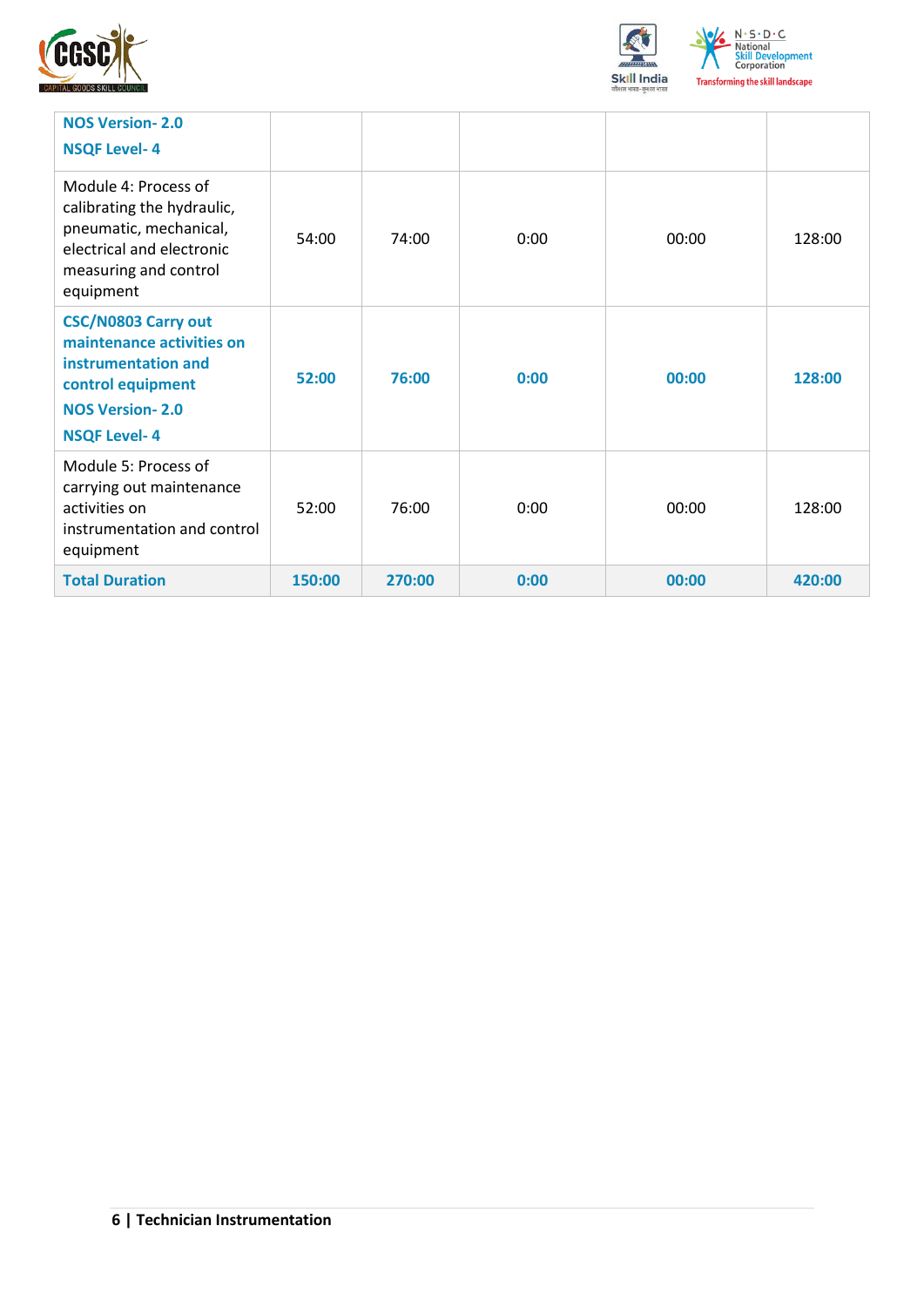



| <b>NOS Version-2.0</b><br><b>NSQF Level-4</b>                                                                                                        |        |        |      |       |        |
|------------------------------------------------------------------------------------------------------------------------------------------------------|--------|--------|------|-------|--------|
| Module 4: Process of<br>calibrating the hydraulic,<br>pneumatic, mechanical,<br>electrical and electronic<br>measuring and control<br>equipment      | 54:00  | 74:00  | 0:00 | 00:00 | 128:00 |
| <b>CSC/N0803 Carry out</b><br>maintenance activities on<br>instrumentation and<br>control equipment<br><b>NOS Version-2.0</b><br><b>NSQF Level-4</b> | 52:00  | 76:00  | 0:00 | 00:00 | 128:00 |
| Module 5: Process of<br>carrying out maintenance<br>activities on<br>instrumentation and control<br>equipment                                        | 52:00  | 76:00  | 0:00 | 00:00 | 128:00 |
| <b>Total Duration</b>                                                                                                                                | 150:00 | 270:00 | 0:00 | 00:00 | 420:00 |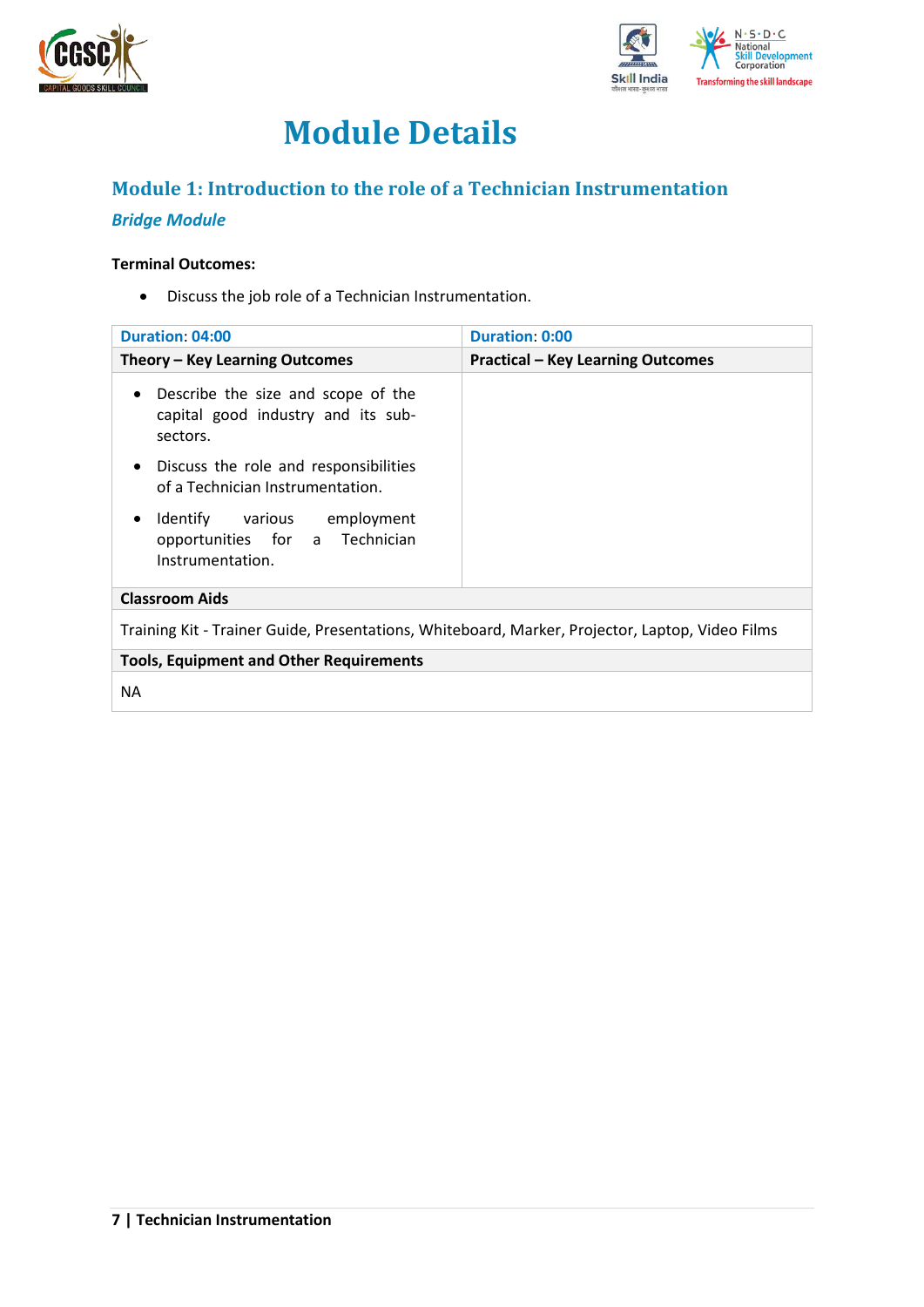



## **Module Details**

## <span id="page-6-0"></span>**Module 1: Introduction to the role of a Technician Instrumentation**

### *Bridge Module*

#### **Terminal Outcomes:**

• Discuss the job role of a Technician Instrumentation.

| <b>Duration: 04:00</b>                                                                            | Duration: 0:00                           |  |  |
|---------------------------------------------------------------------------------------------------|------------------------------------------|--|--|
| Theory - Key Learning Outcomes                                                                    | <b>Practical - Key Learning Outcomes</b> |  |  |
| Describe the size and scope of the<br>$\bullet$<br>capital good industry and its sub-<br>sectors. |                                          |  |  |
| Discuss the role and responsibilities<br>$\bullet$<br>of a Technician Instrumentation.            |                                          |  |  |
| Identify various employment<br>٠<br>opportunities for a Technician<br>Instrumentation.            |                                          |  |  |
| <b>Classroom Aids</b>                                                                             |                                          |  |  |
| Training Kit - Trainer Guide, Presentations, Whiteboard, Marker, Projector, Laptop, Video Films   |                                          |  |  |
| <b>Tools, Equipment and Other Requirements</b>                                                    |                                          |  |  |
| ΝA                                                                                                |                                          |  |  |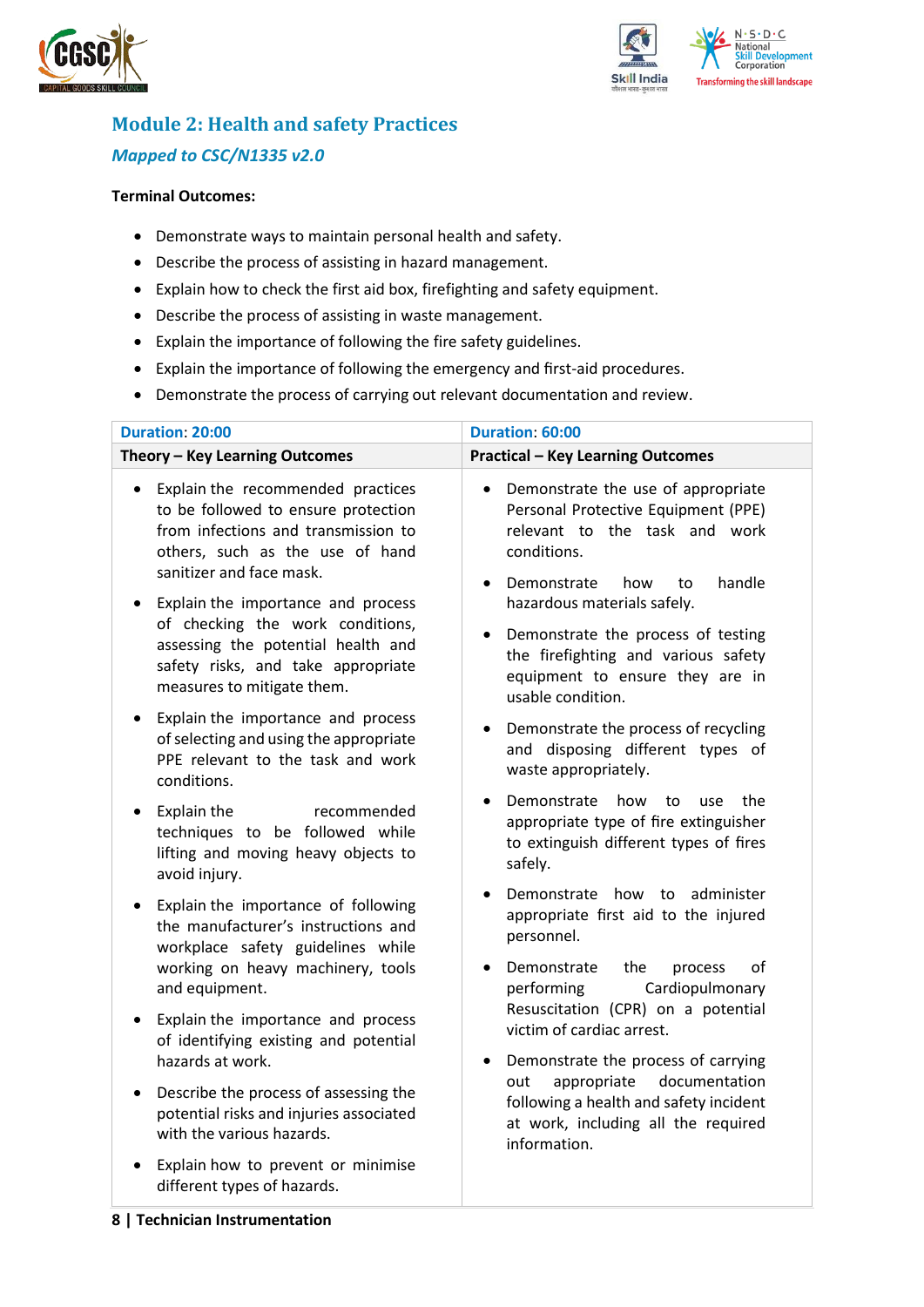



## <span id="page-7-0"></span>**Module 2: Health and safety Practices** *Mapped to CSC/N1335 v2.0*

#### **Terminal Outcomes:**

- Demonstrate ways to maintain personal health and safety.
- Describe the process of assisting in hazard management.
- Explain how to check the first aid box, firefighting and safety equipment.
- Describe the process of assisting in waste management.
- Explain the importance of following the fire safety guidelines.
- Explain the importance of following the emergency and first-aid procedures.
- Demonstrate the process of carrying out relevant documentation and review.

| <b>Duration: 20:00</b>                                                                                                                                                                        | Duration: 60:00                                                                                                                                                              |
|-----------------------------------------------------------------------------------------------------------------------------------------------------------------------------------------------|------------------------------------------------------------------------------------------------------------------------------------------------------------------------------|
| Theory - Key Learning Outcomes                                                                                                                                                                | <b>Practical - Key Learning Outcomes</b>                                                                                                                                     |
| Explain the recommended practices<br>$\bullet$<br>to be followed to ensure protection<br>from infections and transmission to<br>others, such as the use of hand<br>sanitizer and face mask.   | Demonstrate the use of appropriate<br>$\bullet$<br>Personal Protective Equipment (PPE)<br>relevant to the task and work<br>conditions.<br>handle<br>Demonstrate<br>how<br>to |
| Explain the importance and process<br>$\bullet$<br>of checking the work conditions,<br>assessing the potential health and<br>safety risks, and take appropriate<br>measures to mitigate them. | hazardous materials safely.<br>Demonstrate the process of testing<br>the firefighting and various safety<br>equipment to ensure they are in<br>usable condition.             |
| Explain the importance and process<br>$\bullet$<br>of selecting and using the appropriate<br>PPE relevant to the task and work<br>conditions.                                                 | Demonstrate the process of recycling<br>and disposing different types of<br>waste appropriately.                                                                             |
| Explain the<br>recommended<br>$\bullet$<br>techniques to be followed while<br>lifting and moving heavy objects to<br>avoid injury.                                                            | Demonstrate<br>how<br>the<br>to<br>use<br>appropriate type of fire extinguisher<br>to extinguish different types of fires<br>safely.                                         |
| Explain the importance of following<br>$\bullet$<br>the manufacturer's instructions and<br>workplace safety guidelines while<br>working on heavy machinery, tools                             | Demonstrate how to administer<br>appropriate first aid to the injured<br>personnel.<br>Demonstrate<br>the<br>οf<br>process                                                   |
| and equipment.<br>Explain the importance and process<br>$\bullet$<br>of identifying existing and potential<br>hazards at work.                                                                | Cardiopulmonary<br>performing<br>Resuscitation (CPR) on a potential<br>victim of cardiac arrest.<br>Demonstrate the process of carrying<br>$\bullet$                         |
| Describe the process of assessing the<br>$\bullet$<br>potential risks and injuries associated<br>with the various hazards.                                                                    | appropriate<br>documentation<br>out<br>following a health and safety incident<br>at work, including all the required<br>information.                                         |
| Explain how to prevent or minimise<br>different types of hazards.                                                                                                                             |                                                                                                                                                                              |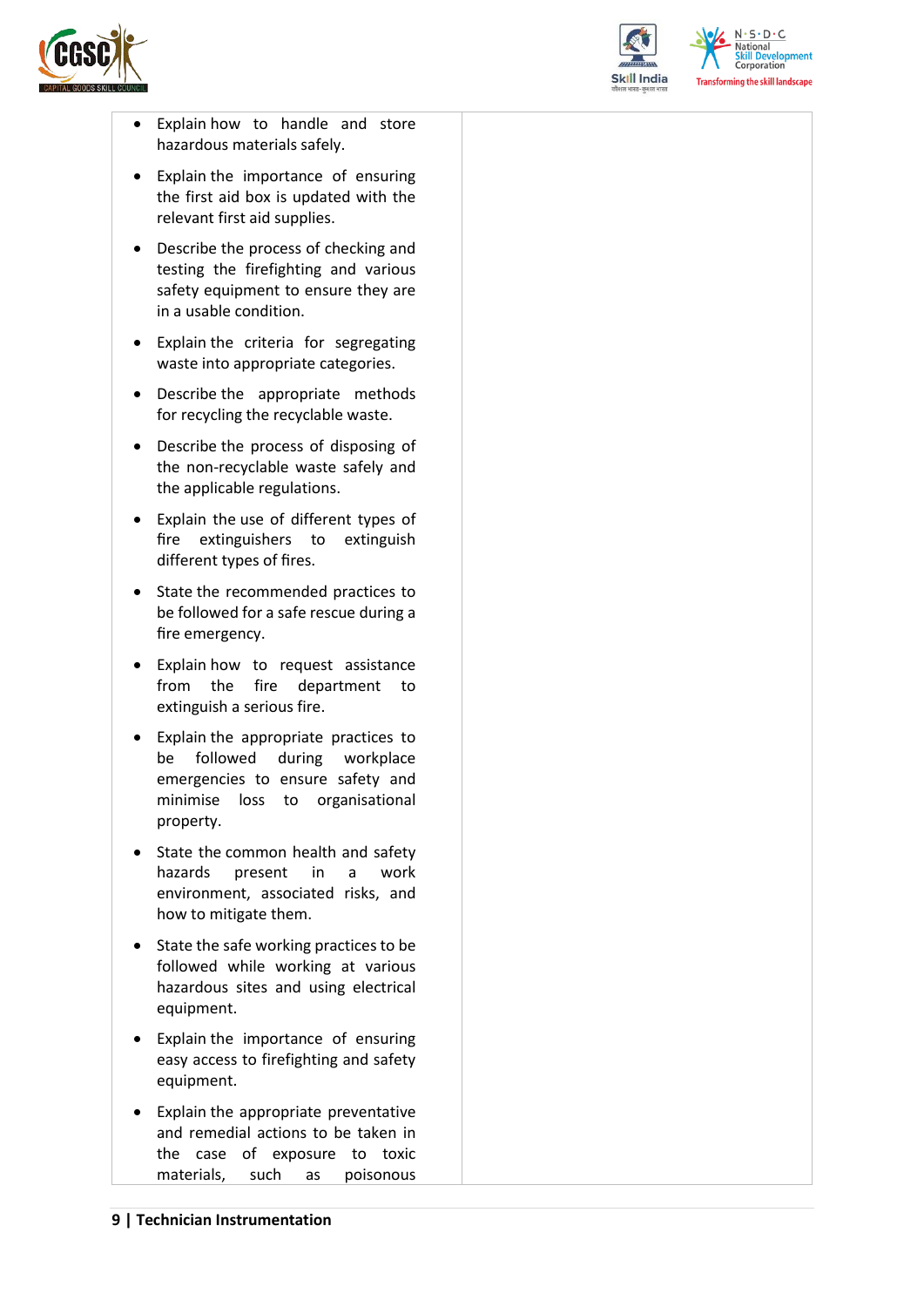



 $N.5.0.6$ National **Skill Development**<br>Corporation **Transforming the skill landscape** 

- Explain how to handle and store hazardous materials safely.
- Explain the importance of ensuring the first aid box is updated with the relevant first aid supplies.
- Describe the process of checking and testing the firefighting and various safety equipment to ensure they are in a usable condition.
- Explain the criteria for segregating waste into appropriate categories.
- Describe the appropriate methods for recycling the recyclable waste.
- Describe the process of disposing of the non-recyclable waste safely and the applicable regulations.
- Explain the use of different types of fire extinguishers to extinguish different types of fires.
- State the recommended practices to be followed for a safe rescue during a fire emergency.
- Explain how to request assistance from the fire department to extinguish a serious fire.
- Explain the appropriate practices to be followed during workplace emergencies to ensure safety and minimise loss to organisational property.
- State the common health and safety hazards present in a work environment, associated risks, and how to mitigate them.
- State the safe working practices to be followed while working at various hazardous sites and using electrical equipment.
- Explain the importance of ensuring easy access to firefighting and safety equipment.
- Explain the appropriate preventative and remedial actions to be taken in the case of exposure to toxic materials, such as poisonous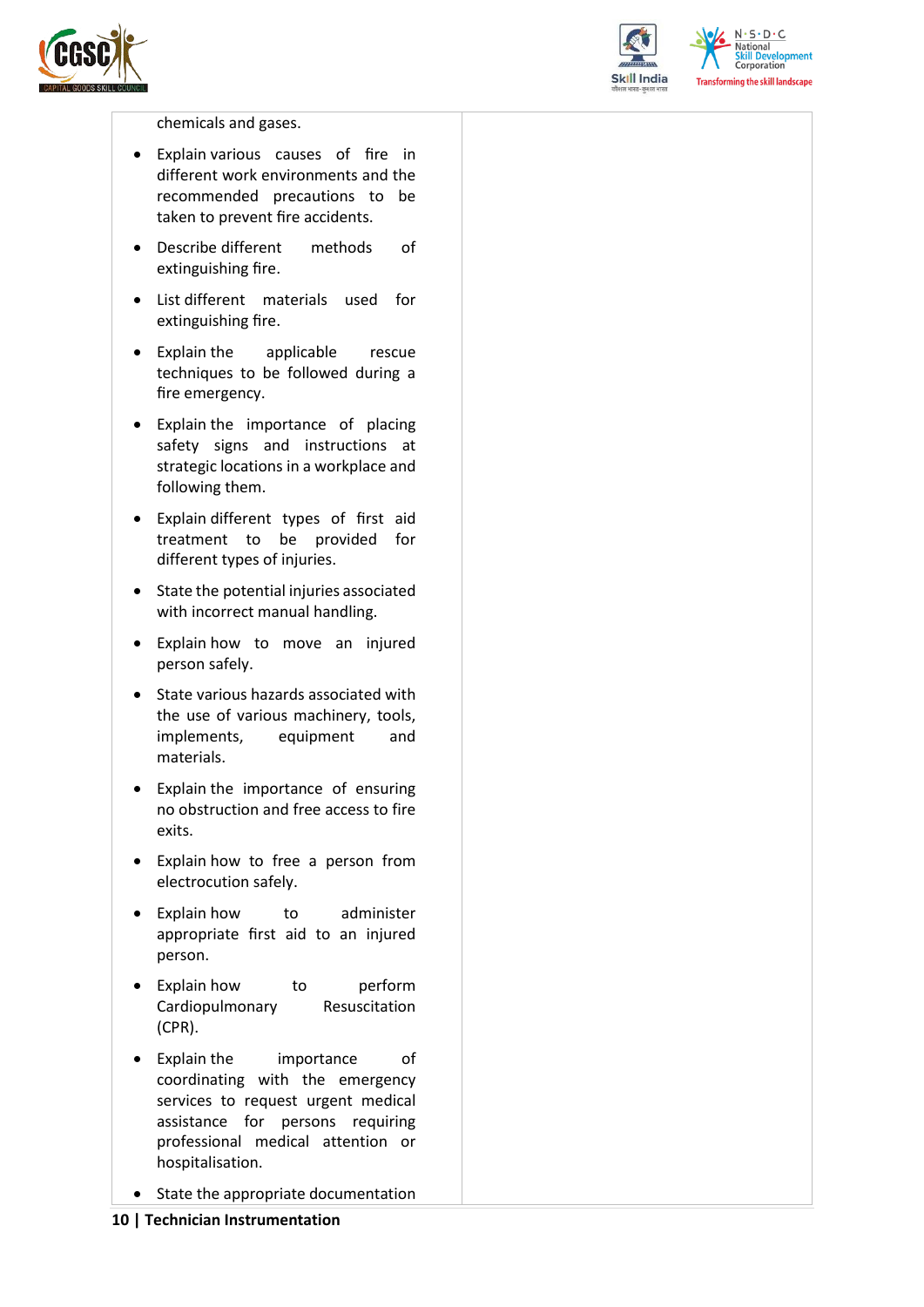



 $N \cdot S \cdot D \cdot C$ National **Skill Development**<br>Corporation **Transforming the skill landscape** 

chemicals and gases.

- Explain various causes of fire in different work environments and the recommended precautions to be taken to prevent fire accidents.
- Describe different methods of extinguishing fire.
- List different materials used for extinguishing fire.
- Explain the applicable rescue techniques to be followed during a fire emergency.
- Explain the importance of placing safety signs and instructions at strategic locations in a workplace and following them.
- Explain different types of first aid treatment to be provided for different types of injuries.
- State the potential injuries associated with incorrect manual handling.
- Explain how to move an injured person safely.
- State various hazards associated with the use of various machinery, tools, implements, equipment and materials.
- Explain the importance of ensuring no obstruction and free access to fire exits.
- Explain how to free a person from electrocution safely.
- Explain how to administer appropriate first aid to an injured person.
- Explain how to perform Cardiopulmonary Resuscitation (CPR).
- Explain the importance of coordinating with the emergency services to request urgent medical assistance for persons requiring professional medical attention or hospitalisation.
- State the appropriate documentation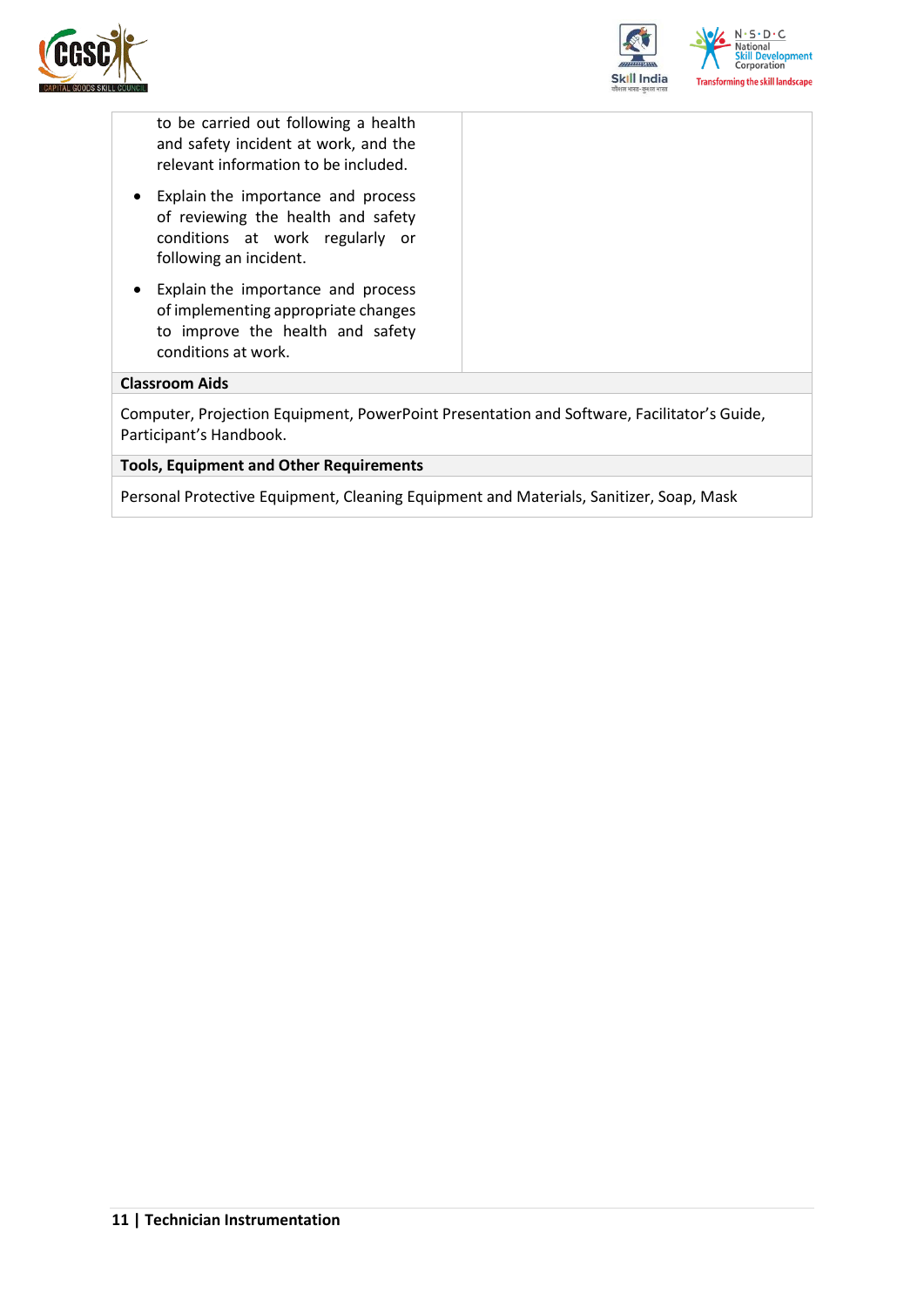



to be carried out following a health and safety incident at work, and the relevant information to be included.

- Explain the importance and process of reviewing the health and safety conditions at work regularly or following an incident.
- Explain the importance and process of implementing appropriate changes to improve the health and safety conditions at work.

#### **Classroom Aids**

Computer, Projection Equipment, PowerPoint Presentation and Software, Facilitator's Guide, Participant's Handbook.

#### **Tools, Equipment and Other Requirements**

Personal Protective Equipment, Cleaning Equipment and Materials, Sanitizer, Soap, Mask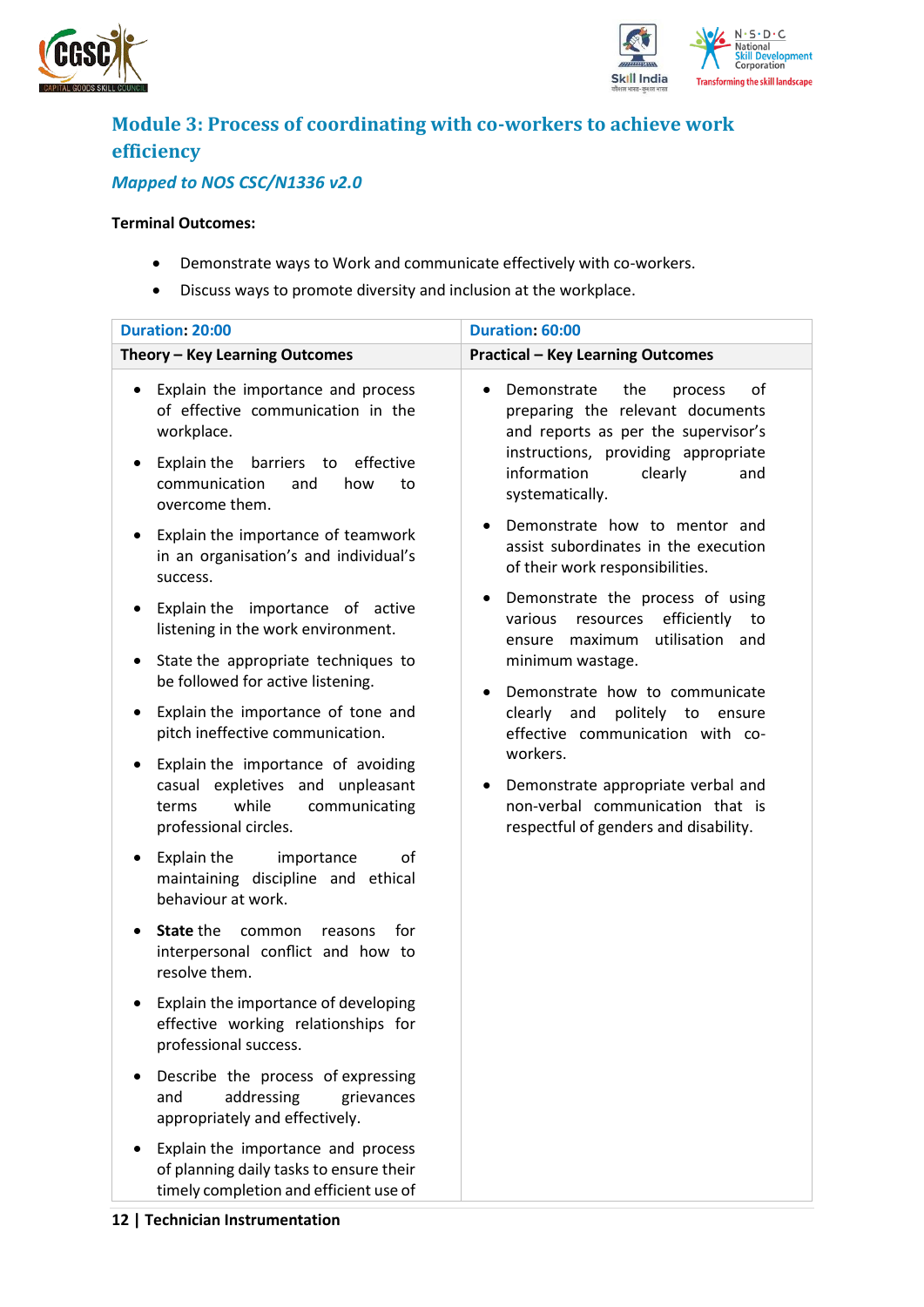



## <span id="page-11-0"></span>**Module 3: Process of coordinating with co-workers to achieve work efficiency**

### *Mapped to NOS CSC/N1336 v2.0*

#### **Terminal Outcomes:**

- Demonstrate ways to Work and communicate effectively with co-workers.
- Discuss ways to promote diversity and inclusion at the workplace.

| <b>Duration: 20:00</b>                                                                                                                                                                                                                       | Duration: 60:00                                                                                                                                                                                                                            |
|----------------------------------------------------------------------------------------------------------------------------------------------------------------------------------------------------------------------------------------------|--------------------------------------------------------------------------------------------------------------------------------------------------------------------------------------------------------------------------------------------|
| Theory - Key Learning Outcomes                                                                                                                                                                                                               | <b>Practical - Key Learning Outcomes</b>                                                                                                                                                                                                   |
| Explain the importance and process<br>$\bullet$<br>of effective communication in the<br>workplace.<br>Explain the<br>barriers to effective<br>٠<br>communication<br>and<br>how<br>to<br>overcome them.<br>Explain the importance of teamwork | Demonstrate<br>the<br>of<br>process<br>preparing the relevant documents<br>and reports as per the supervisor's<br>instructions, providing appropriate<br>information<br>clearly<br>and<br>systematically.<br>Demonstrate how to mentor and |
| $\bullet$<br>in an organisation's and individual's<br>success.<br>Explain the importance of active<br>٠                                                                                                                                      | assist subordinates in the execution<br>of their work responsibilities.<br>Demonstrate the process of using                                                                                                                                |
| listening in the work environment.<br>State the appropriate techniques to<br>$\bullet$                                                                                                                                                       | efficiently<br>various<br>resources<br>to<br>utilisation and<br>ensure maximum<br>minimum wastage.                                                                                                                                         |
| be followed for active listening.                                                                                                                                                                                                            | Demonstrate how to communicate                                                                                                                                                                                                             |
| Explain the importance of tone and<br>$\bullet$<br>pitch ineffective communication.                                                                                                                                                          | clearly<br>and<br>politely to ensure<br>effective communication with co-                                                                                                                                                                   |
| Explain the importance of avoiding<br>٠<br>casual expletives and unpleasant<br>while<br>communicating<br>terms<br>professional circles.                                                                                                      | workers.<br>Demonstrate appropriate verbal and<br>non-verbal communication that is<br>respectful of genders and disability.                                                                                                                |
| Explain the<br>οf<br>importance<br>٠<br>maintaining discipline and ethical<br>behaviour at work.                                                                                                                                             |                                                                                                                                                                                                                                            |
| State the<br>for<br>common<br>reasons<br>$\bullet$<br>interpersonal conflict and how to<br>resolve them.                                                                                                                                     |                                                                                                                                                                                                                                            |
| Explain the importance of developing<br>effective working relationships for<br>professional success.                                                                                                                                         |                                                                                                                                                                                                                                            |
| Describe the process of expressing<br>addressing<br>and<br>grievances<br>appropriately and effectively.                                                                                                                                      |                                                                                                                                                                                                                                            |
| Explain the importance and process<br>of planning daily tasks to ensure their<br>timely completion and efficient use of                                                                                                                      |                                                                                                                                                                                                                                            |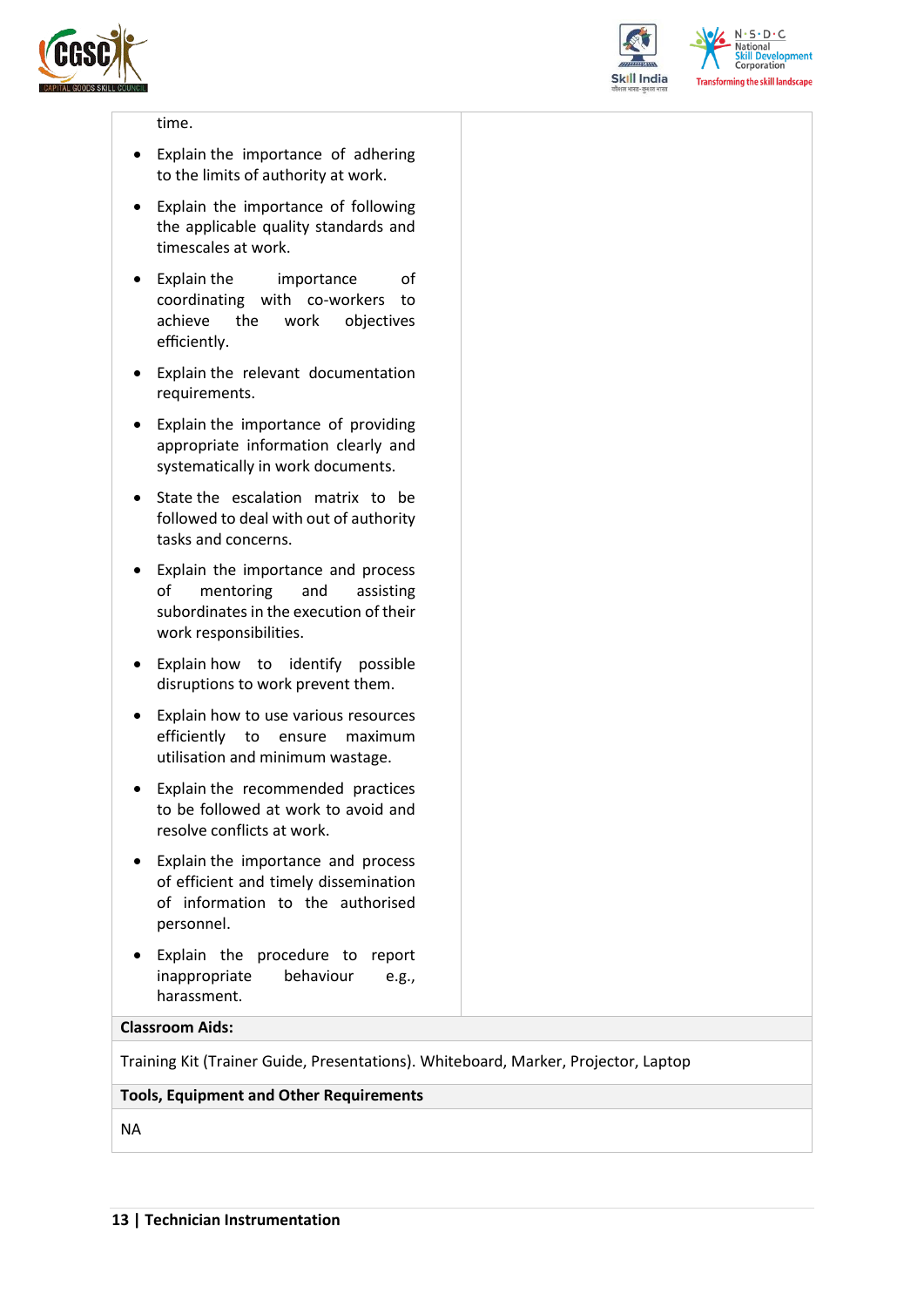



 $N.5.0.6$ **National Skill Development**<br>Corporation **Transforming the skill landscape** 

#### time.

- Explain the importance of adhering to the limits of authority at work.
- Explain the importance of following the applicable quality standards and timescales at work.
- Explain the importance of coordinating with co-workers to achieve the work objectives efficiently.
- Explain the relevant documentation requirements.
- Explain the importance of providing appropriate information clearly and systematically in work documents.
- State the escalation matrix to be followed to deal with out of authority tasks and concerns.
- Explain the importance and process of mentoring and assisting subordinates in the execution of their work responsibilities.
- Explain how to identify possible disruptions to work prevent them.
- Explain how to use various resources efficiently to ensure maximum utilisation and minimum wastage.
- Explain the recommended practices to be followed at work to avoid and resolve conflicts at work.
- Explain the importance and process of efficient and timely dissemination of information to the authorised personnel.
- Explain the procedure to report inappropriate behaviour e.g., harassment.

#### **Classroom Aids:**

Training Kit (Trainer Guide, Presentations). Whiteboard, Marker, Projector, Laptop

#### **Tools, Equipment and Other Requirements**

NA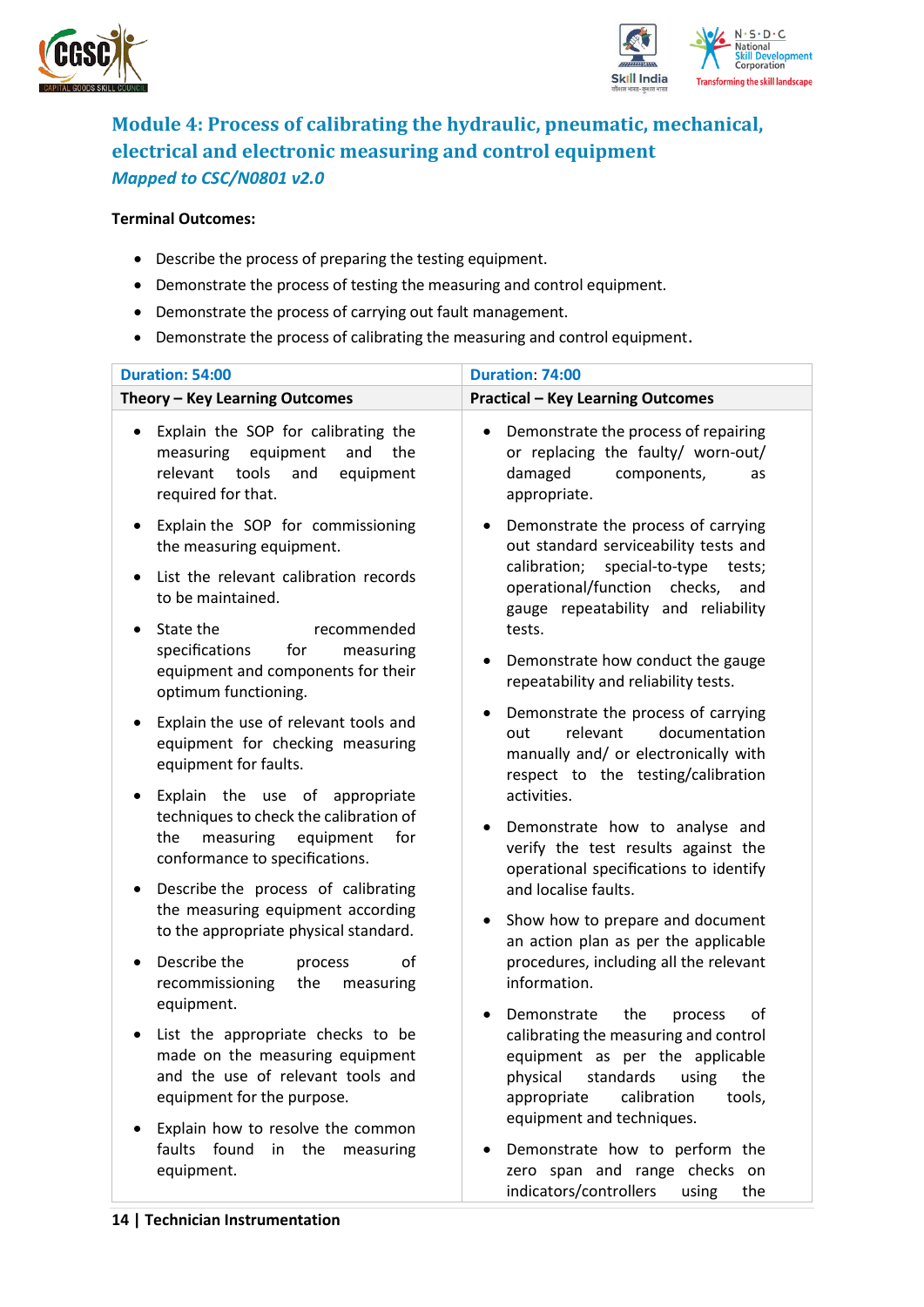



### <span id="page-13-0"></span>**Module 4: Process of calibrating the hydraulic, pneumatic, mechanical, electrical and electronic measuring and control equipment** *Mapped to CSC/N0801 v2.0*

#### **Terminal Outcomes:**

- Describe the process of preparing the testing equipment.
- Demonstrate the process of testing the measuring and control equipment.
- Demonstrate the process of carrying out fault management.
- Demonstrate the process of calibrating the measuring and control equipment.

| <b>Duration: 54:00</b>                                                                                                                                  | Duration: 74:00                                                                                                                                                                                                         |
|---------------------------------------------------------------------------------------------------------------------------------------------------------|-------------------------------------------------------------------------------------------------------------------------------------------------------------------------------------------------------------------------|
| Theory - Key Learning Outcomes                                                                                                                          | <b>Practical - Key Learning Outcomes</b>                                                                                                                                                                                |
| Explain the SOP for calibrating the<br>$\bullet$<br>equipment<br>measuring<br>and<br>the<br>tools<br>relevant<br>and<br>equipment<br>required for that. | Demonstrate the process of repairing<br>$\bullet$<br>or replacing the faulty/ worn-out/<br>damaged<br>components,<br>as<br>appropriate.                                                                                 |
| Explain the SOP for commissioning<br>$\bullet$<br>the measuring equipment.<br>List the relevant calibration records                                     | Demonstrate the process of carrying<br>$\bullet$<br>out standard serviceability tests and<br>calibration; special-to-type<br>tests;                                                                                     |
| to be maintained.                                                                                                                                       | operational/function checks,<br>and<br>gauge repeatability and reliability                                                                                                                                              |
| State the<br>recommended<br>$\bullet$<br>specifications<br>for<br>measuring<br>equipment and components for their<br>optimum functioning.               | tests.<br>Demonstrate how conduct the gauge<br>repeatability and reliability tests.                                                                                                                                     |
| Explain the use of relevant tools and<br>٠<br>equipment for checking measuring<br>equipment for faults.                                                 | Demonstrate the process of carrying<br>$\bullet$<br>relevant<br>documentation<br>out<br>manually and/ or electronically with<br>respect to the testing/calibration                                                      |
| Explain the use of appropriate<br>٠<br>techniques to check the calibration of<br>the<br>measuring<br>equipment<br>for<br>conformance to specifications. | activities.<br>Demonstrate how to analyse and<br>$\bullet$<br>verify the test results against the<br>operational specifications to identify                                                                             |
| Describe the process of calibrating<br>٠<br>the measuring equipment according<br>to the appropriate physical standard.                                  | and localise faults.<br>Show how to prepare and document<br>$\bullet$                                                                                                                                                   |
| Describe the<br>οf<br>process<br>٠<br>recommissioning<br>the<br>measuring<br>equipment.                                                                 | an action plan as per the applicable<br>procedures, including all the relevant<br>information.                                                                                                                          |
| List the appropriate checks to be<br>made on the measuring equipment<br>and the use of relevant tools and<br>equipment for the purpose.                 | the<br>of<br>Demonstrate<br>process<br>calibrating the measuring and control<br>equipment as per the applicable<br>physical standards using<br>the<br>calibration<br>appropriate<br>tools,<br>equipment and techniques. |
| Explain how to resolve the common<br>faults found in the measuring<br>equipment.                                                                        | Demonstrate how to perform the<br>zero span and range checks on                                                                                                                                                         |

indicators/controllers using the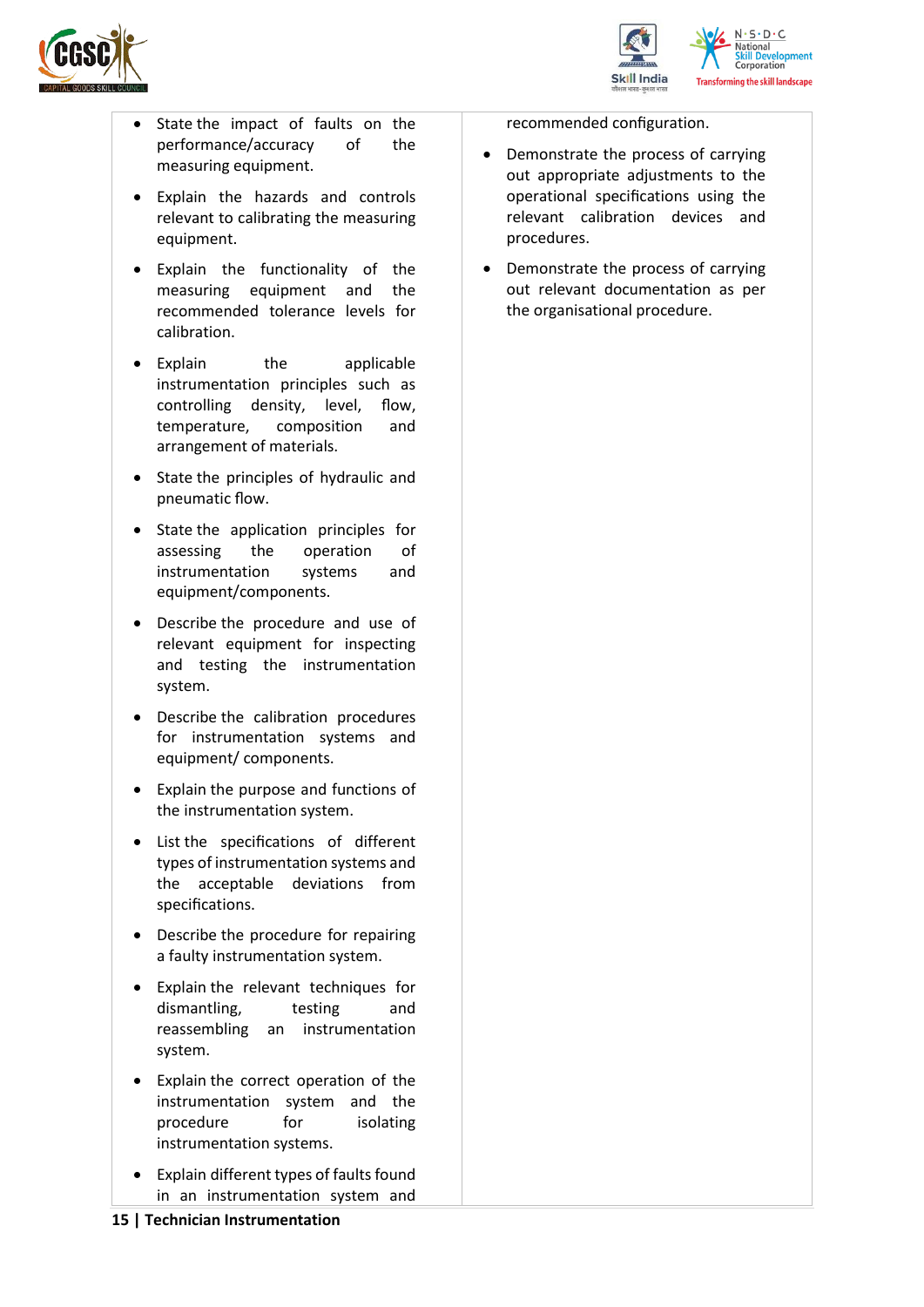



- State the impact of faults on the performance/accuracy of the measuring equipment.
- Explain the hazards and controls relevant to calibrating the measuring equipment.
- Explain the functionality of the measuring equipment and the recommended tolerance levels for calibration.
- Explain the applicable instrumentation principles such as controlling density, level, flow, temperature, composition and arrangement of materials.
- State the principles of hydraulic and pneumatic flow.
- State the application principles for assessing the operation of instrumentation systems and equipment/components.
- Describe the procedure and use of relevant equipment for inspecting and testing the instrumentation system.
- Describe the calibration procedures for instrumentation systems and equipment/ components.
- Explain the purpose and functions of the instrumentation system.
- List the specifications of different types of instrumentation systems and the acceptable deviations from specifications.
- Describe the procedure for repairing a faulty instrumentation system.
- Explain the relevant techniques for dismantling, testing and reassembling an instrumentation system.
- Explain the correct operation of the instrumentation system and the procedure for isolating instrumentation systems.
- Explain different types of faults found in an instrumentation system and

recommended configuration.

- Demonstrate the process of carrying out appropriate adjustments to the operational specifications using the relevant calibration devices and procedures.
- Demonstrate the process of carrying out relevant documentation as per the organisational procedure.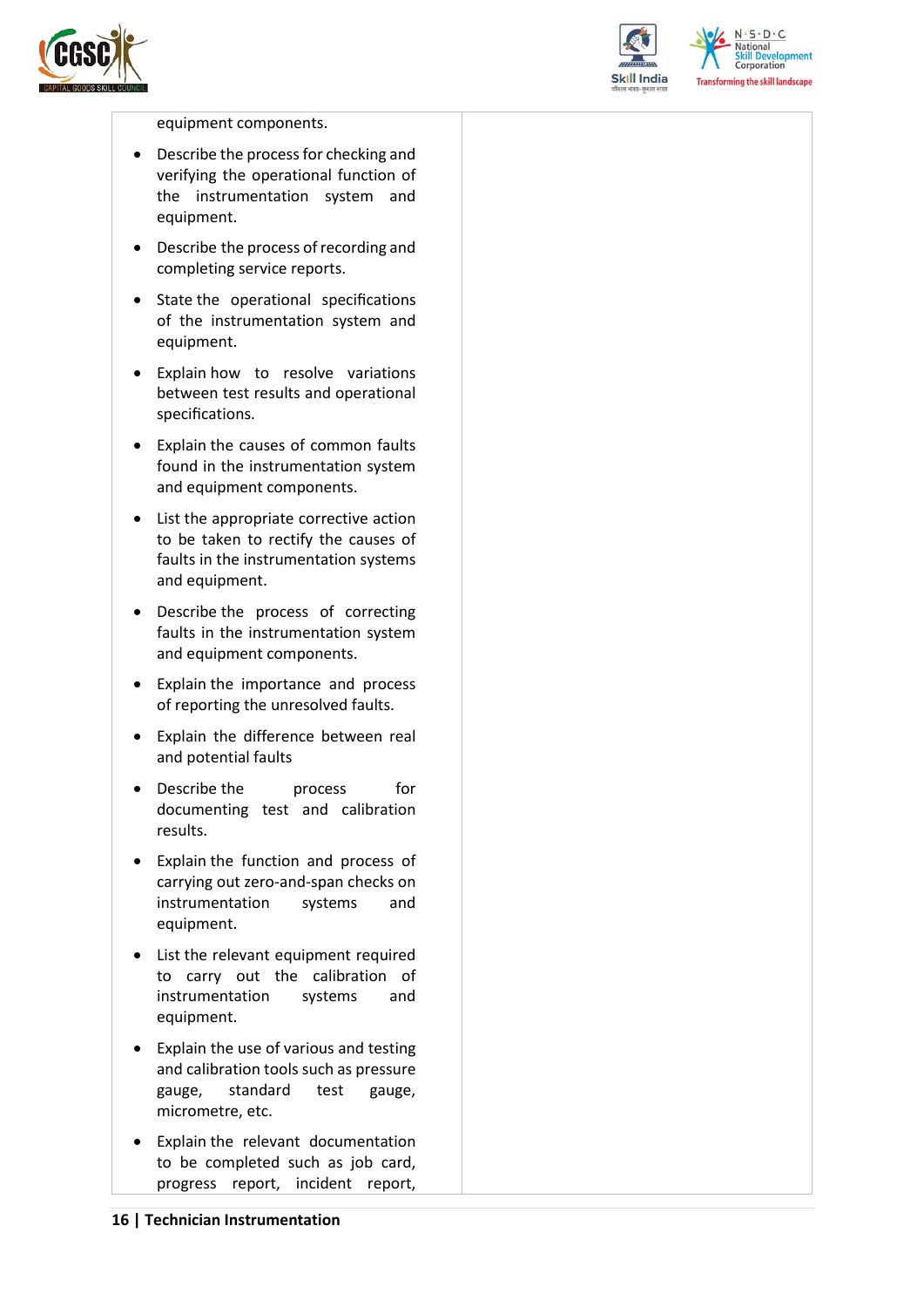



 $N \cdot S \cdot D \cdot C$ **National Skill Development**<br>Corporation **Transforming the skill landscape** 

#### equipment components.

- Describe the process for checking and verifying the operational function of the instrumentation system and equipment.
- Describe the process of recording and completing service reports.
- State the operational specifications of the instrumentation system and equipment.
- Explain how to resolve variations between test results and operational specifications.
- Explain the causes of common faults found in the instrumentation system and equipment components.
- List the appropriate corrective action to be taken to rectify the causes of faults in the instrumentation systems and equipment.
- Describe the process of correcting faults in the instrumentation system and equipment components.
- Explain the importance and process of reporting the unresolved faults.
- Explain the difference between real and potential faults
- Describe the process for documenting test and calibration results.
- Explain the function and process of carrying out zero-and-span checks on instrumentation systems and equipment.
- List the relevant equipment required to carry out the calibration of instrumentation systems and equipment.
- Explain the use of various and testing and calibration tools such as pressure gauge, standard test gauge, micrometre, etc.
- Explain the relevant documentation to be completed such as job card, progress report, incident report,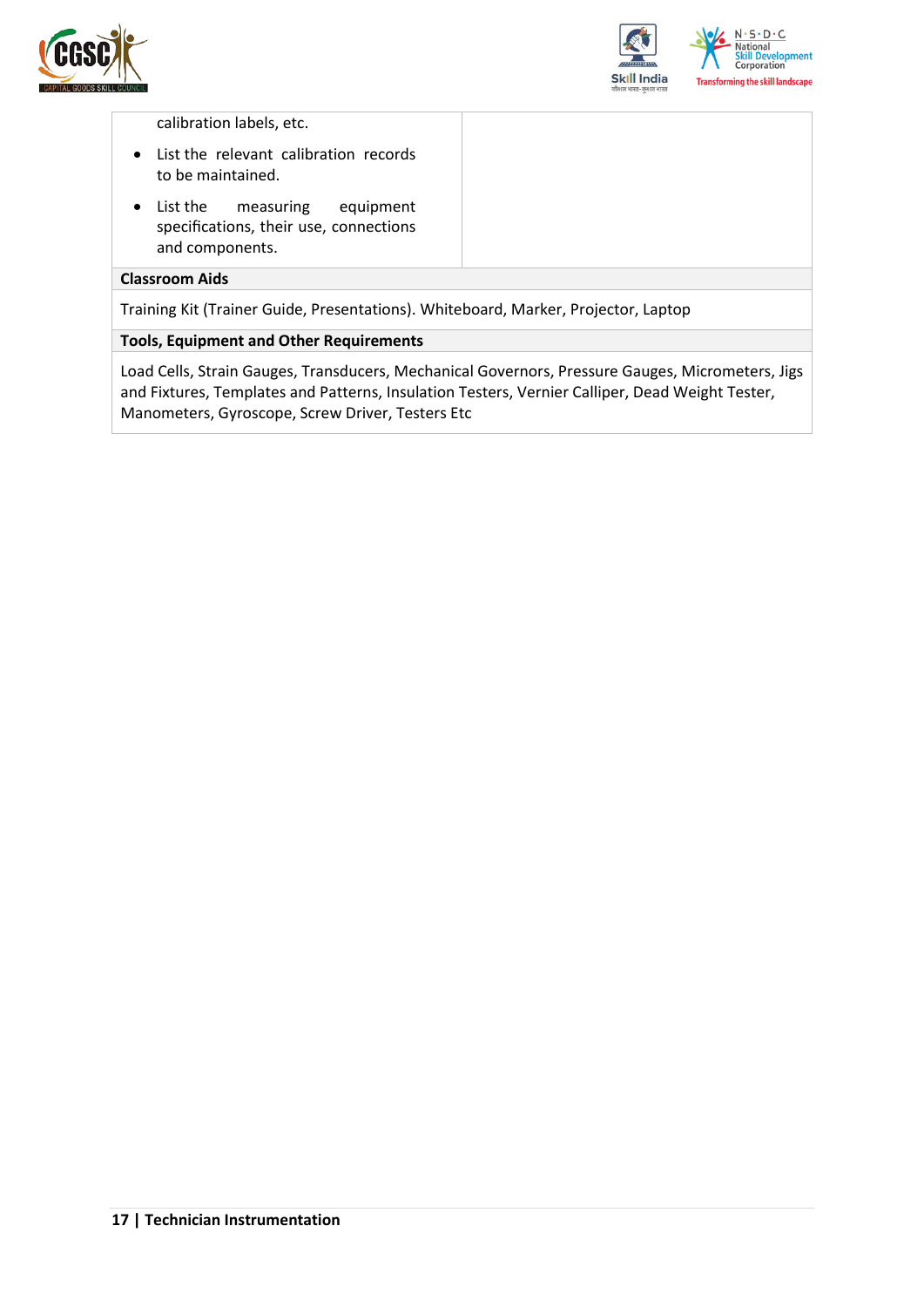



calibration labels, etc.

- List the relevant calibration records to be maintained.
- List the measuring equipment specifications, their use, connections and components.

#### **Classroom Aids**

Training Kit (Trainer Guide, Presentations). Whiteboard, Marker, Projector, Laptop

#### **Tools, Equipment and Other Requirements**

Load Cells, Strain Gauges, Transducers, Mechanical Governors, Pressure Gauges, Micrometers, Jigs and Fixtures, Templates and Patterns, Insulation Testers, Vernier Calliper, Dead Weight Tester, Manometers, Gyroscope, Screw Driver, Testers Etc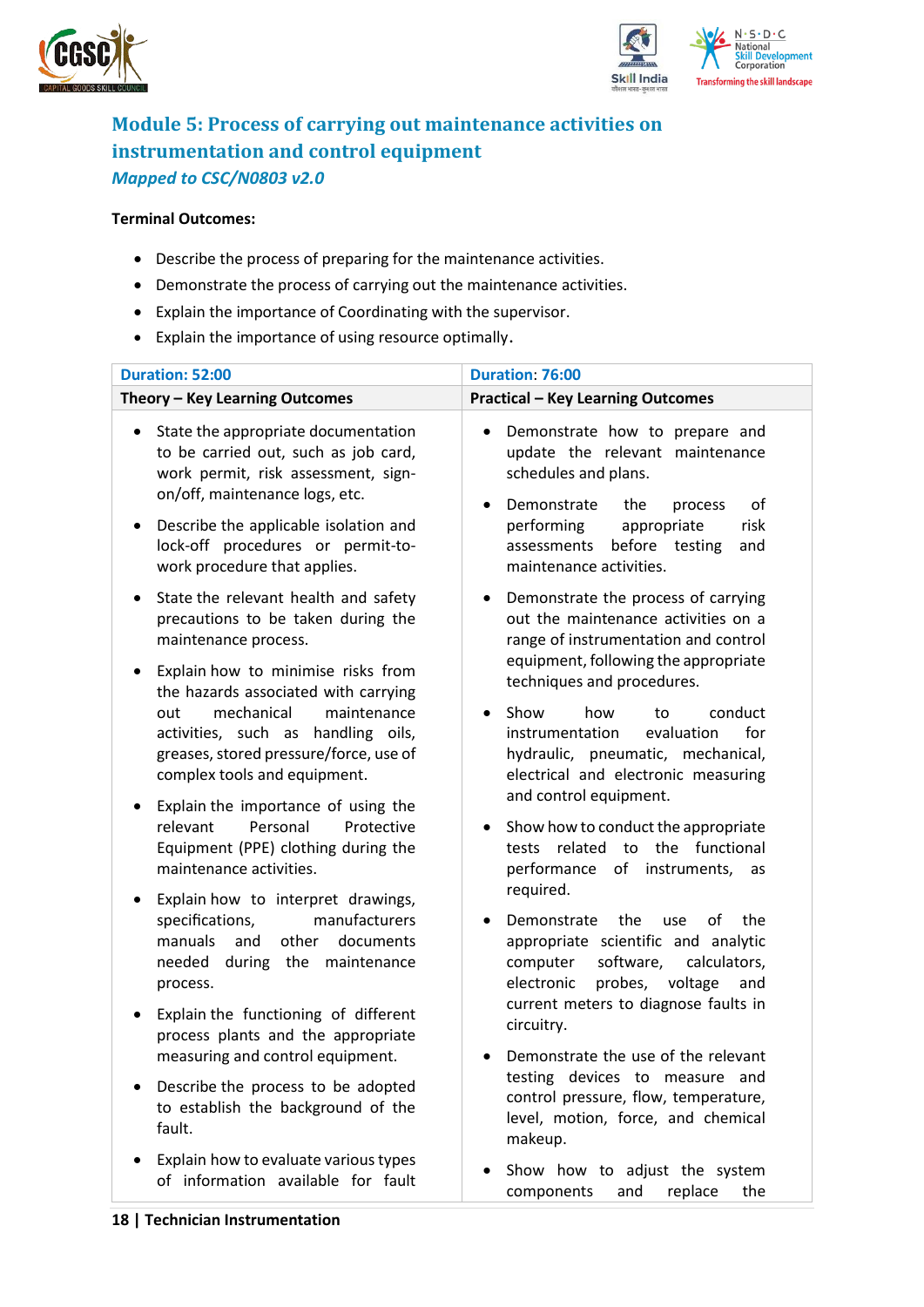



### <span id="page-17-0"></span>**Module 5: Process of carrying out maintenance activities on instrumentation and control equipment** *Mapped to CSC/N0803 v2.0*

#### **Terminal Outcomes:**

- Describe the process of preparing for the maintenance activities.
- Demonstrate the process of carrying out the maintenance activities.
- Explain the importance of Coordinating with the supervisor.
- Explain the importance of using resource optimally.

| <b>Duration: 52:00</b>                                                                                                                                                                                                                                                               | Duration: 76:00                                                                                                                                                                                                                                                    |
|--------------------------------------------------------------------------------------------------------------------------------------------------------------------------------------------------------------------------------------------------------------------------------------|--------------------------------------------------------------------------------------------------------------------------------------------------------------------------------------------------------------------------------------------------------------------|
| Theory - Key Learning Outcomes                                                                                                                                                                                                                                                       | <b>Practical - Key Learning Outcomes</b>                                                                                                                                                                                                                           |
| State the appropriate documentation<br>$\bullet$<br>to be carried out, such as job card,<br>work permit, risk assessment, sign-<br>on/off, maintenance logs, etc.<br>Describe the applicable isolation and<br>٠<br>lock-off procedures or permit-to-<br>work procedure that applies. | Demonstrate how to prepare and<br>$\bullet$<br>update the relevant maintenance<br>schedules and plans.<br>Demonstrate<br>οf<br>the<br>process<br>$\bullet$<br>performing<br>appropriate<br>risk<br>before testing<br>assessments<br>and<br>maintenance activities. |
| State the relevant health and safety<br>$\bullet$<br>precautions to be taken during the<br>maintenance process.<br>Explain how to minimise risks from<br>$\bullet$<br>the hazards associated with carrying                                                                           | Demonstrate the process of carrying<br>$\bullet$<br>out the maintenance activities on a<br>range of instrumentation and control<br>equipment, following the appropriate<br>techniques and procedures.                                                              |
| mechanical<br>out<br>maintenance<br>activities, such as handling oils,<br>greases, stored pressure/force, use of<br>complex tools and equipment.                                                                                                                                     | Show<br>how<br>conduct<br>$\bullet$<br>to<br>instrumentation<br>evaluation<br>for<br>hydraulic, pneumatic, mechanical,<br>electrical and electronic measuring<br>and control equipment.                                                                            |
| Explain the importance of using the<br>Personal<br>relevant<br>Protective<br>Equipment (PPE) clothing during the<br>maintenance activities.                                                                                                                                          | Show how to conduct the appropriate<br>$\bullet$<br>tests related<br>to the functional<br>performance of instruments, as<br>required.                                                                                                                              |
| Explain how to interpret drawings,<br>manufacturers<br>specifications,<br>and<br>other<br>manuals<br>documents<br>needed during the maintenance<br>process.                                                                                                                          | the<br>the<br>Demonstrate<br>οf<br>use<br>appropriate scientific and analytic<br>software,<br>computer<br>calculators,<br>electronic<br>probes, voltage<br>and                                                                                                     |
| Explain the functioning of different<br>process plants and the appropriate<br>measuring and control equipment.                                                                                                                                                                       | current meters to diagnose faults in<br>circuitry.<br>Demonstrate the use of the relevant                                                                                                                                                                          |
| Describe the process to be adopted<br>to establish the background of the<br>fault.                                                                                                                                                                                                   | testing devices to measure and<br>control pressure, flow, temperature,<br>level, motion, force, and chemical<br>makeup.                                                                                                                                            |
| Explain how to evaluate various types<br>of information available for fault                                                                                                                                                                                                          | Show how to adjust the system<br>replace<br>and<br>the<br>components                                                                                                                                                                                               |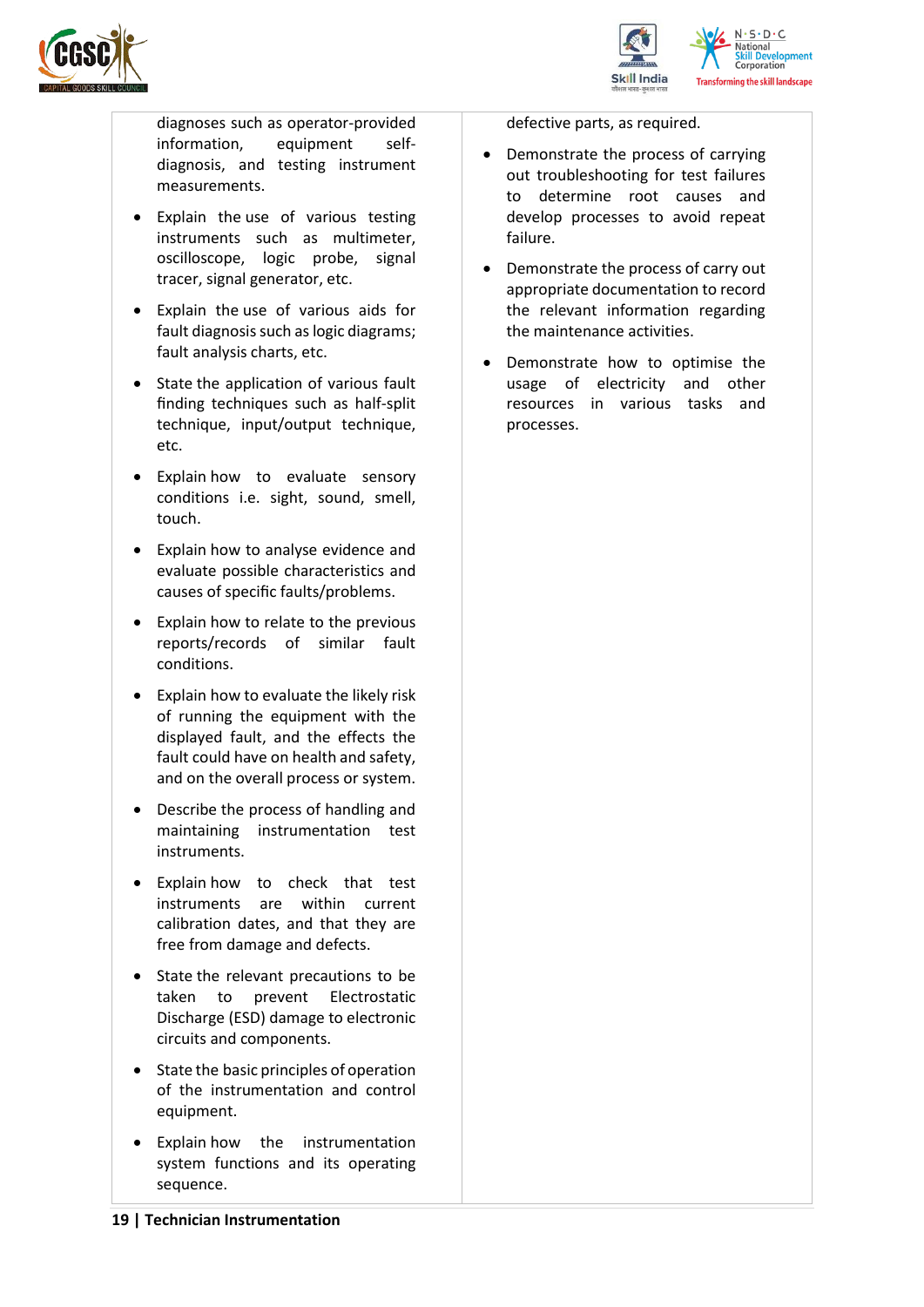



diagnoses such as operator-provided information, equipment selfdiagnosis, and testing instrument measurements.

- Explain the use of various testing instruments such as multimeter, oscilloscope, logic probe, signal tracer, signal generator, etc.
- Explain the use of various aids for fault diagnosis such as logic diagrams; fault analysis charts, etc.
- State the application of various fault finding techniques such as half-split technique, input/output technique, etc.
- Explain how to evaluate sensory conditions i.e. sight, sound, smell, touch.
- Explain how to analyse evidence and evaluate possible characteristics and causes of specific faults/problems.
- Explain how to relate to the previous reports/records of similar fault conditions.
- Explain how to evaluate the likely risk of running the equipment with the displayed fault, and the effects the fault could have on health and safety, and on the overall process or system.
- Describe the process of handling and maintaining instrumentation test instruments.
- Explain how to check that test instruments are within current calibration dates, and that they are free from damage and defects.
- State the relevant precautions to be taken to prevent Electrostatic Discharge (ESD) damage to electronic circuits and components.
- State the basic principles of operation of the instrumentation and control equipment.
- Explain how the instrumentation system functions and its operating sequence.

defective parts, as required.

- Demonstrate the process of carrying out troubleshooting for test failures to determine root causes and develop processes to avoid repeat failure.
- Demonstrate the process of carry out appropriate documentation to record the relevant information regarding the maintenance activities.
- Demonstrate how to optimise the usage of electricity and other resources in various tasks and processes.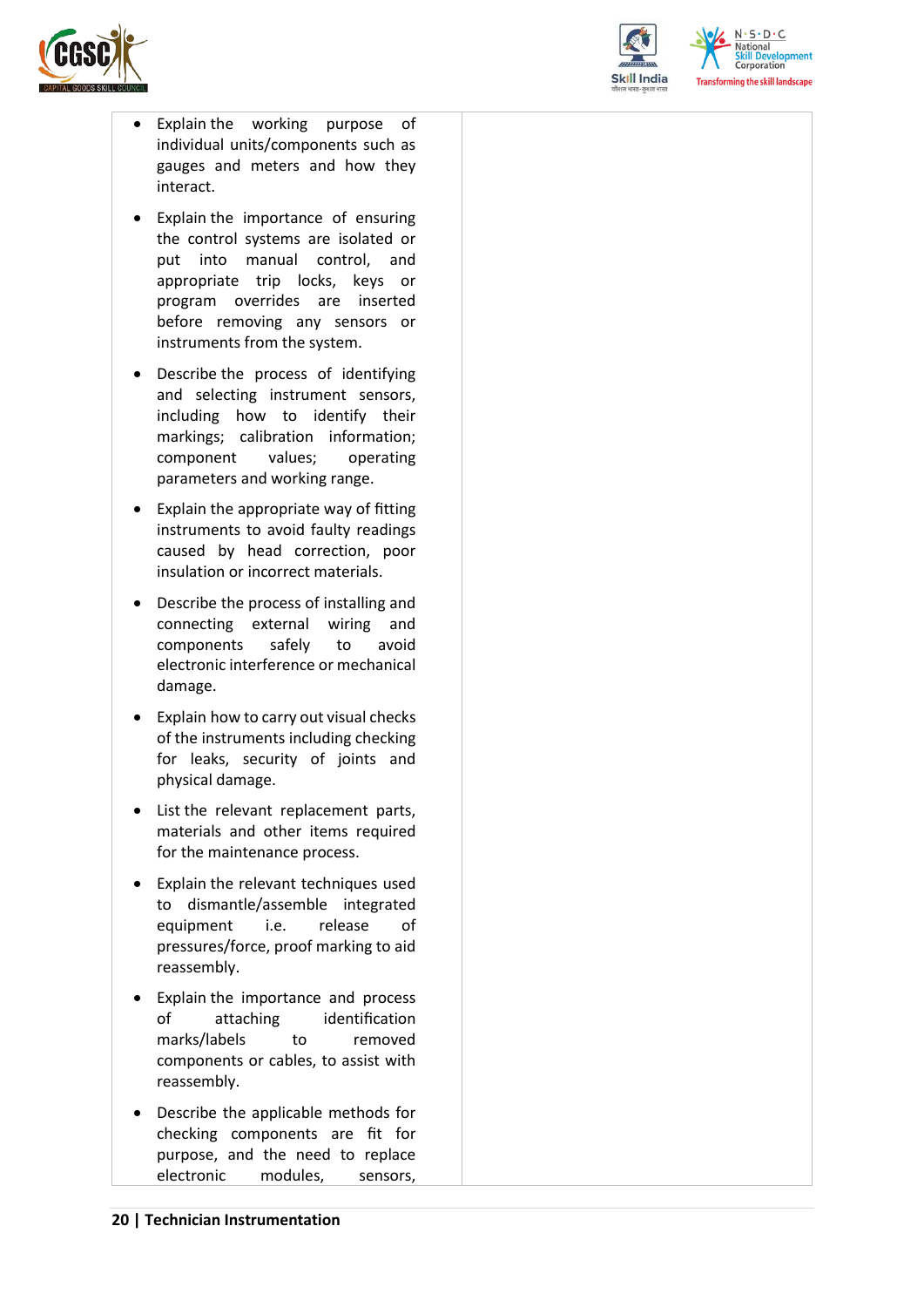



 $N.5.0.6$ **National Skill Development**<br>Corporation **Transforming the skill landscape** 

- Explain the working purpose of individual units/components such as gauges and meters and how they interact.
- Explain the importance of ensuring the control systems are isolated or put into manual control, and appropriate trip locks, keys or program overrides are inserted before removing any sensors or instruments from the system.
- Describe the process of identifying and selecting instrument sensors, including how to identify their markings; calibration information; component values; operating parameters and working range.
- Explain the appropriate way of fitting instruments to avoid faulty readings caused by head correction, poor insulation or incorrect materials.
- Describe the process of installing and connecting external wiring and components safely to avoid electronic interference or mechanical damage.
- Explain how to carry out visual checks of the instruments including checking for leaks, security of joints and physical damage.
- List the relevant replacement parts, materials and other items required for the maintenance process.
- Explain the relevant techniques used to dismantle/assemble integrated equipment i.e. release of pressures/force, proof marking to aid reassembly.
- Explain the importance and process of attaching identification marks/labels to removed components or cables, to assist with reassembly.
- Describe the applicable methods for checking components are fit for purpose, and the need to replace electronic modules, sensors,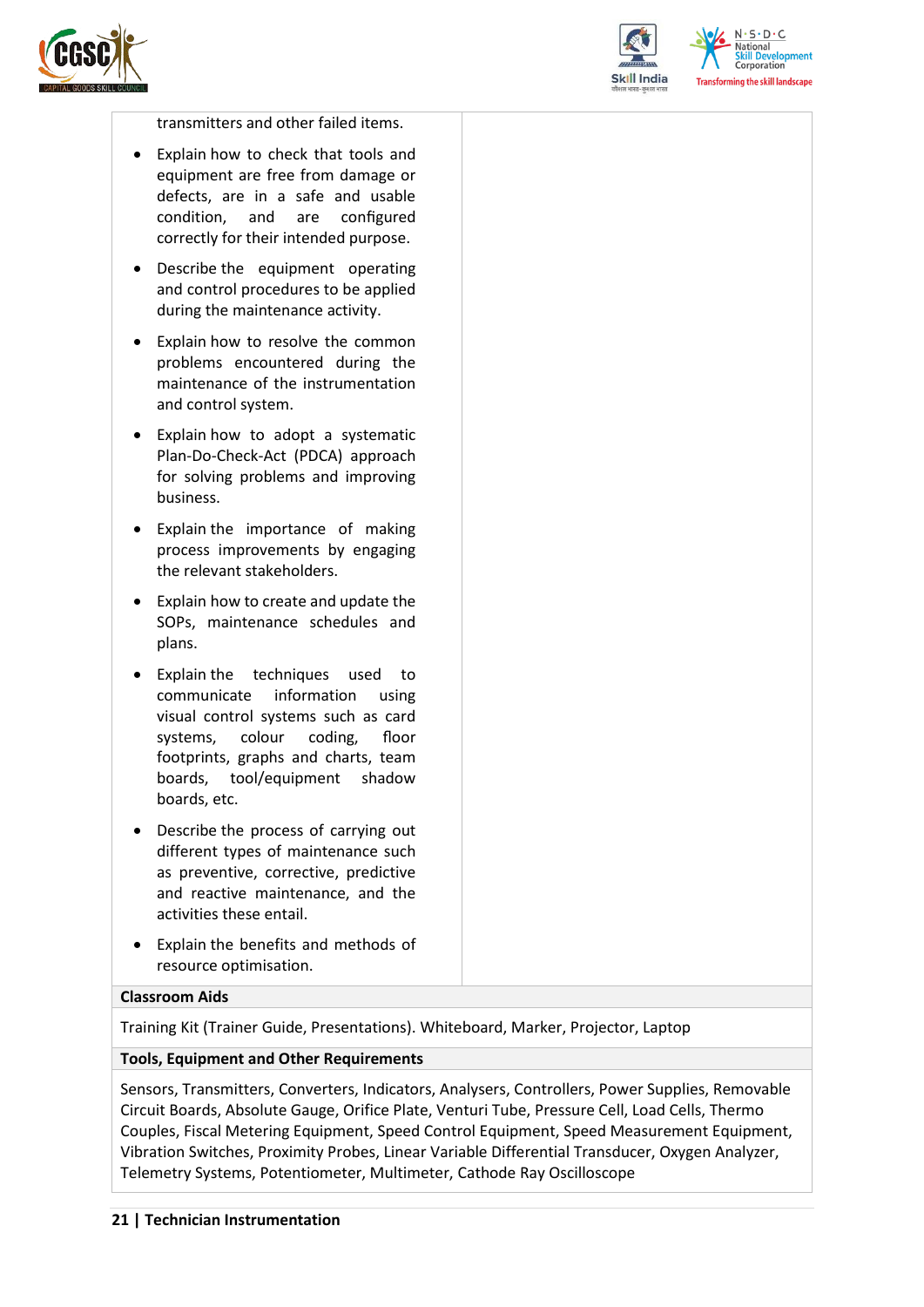



 $N.5.0.6$ elopment Corporation sforming the skill landscape

transmitters and other failed items.

- Explain how to check that tools and equipment are free from damage or defects, are in a safe and usable condition, and are configured correctly for their intended purpose.
- Describe the equipment operating and control procedures to be applied during the maintenance activity.
- Explain how to resolve the common problems encountered during the maintenance of the instrumentation and control system.
- Explain how to adopt a systematic Plan-Do-Check-Act (PDCA) approach for solving problems and improving business.
- Explain the importance of making process improvements by engaging the relevant stakeholders.
- Explain how to create and update the SOPs, maintenance schedules and plans.
- Explain the techniques used to communicate information using visual control systems such as card systems, colour coding, floor footprints, graphs and charts, team boards, tool/equipment shadow boards, etc.
- Describe the process of carrying out different types of maintenance such as preventive, corrective, predictive and reactive maintenance, and the activities these entail.
- Explain the benefits and methods of resource optimisation.

#### **Classroom Aids**

Training Kit (Trainer Guide, Presentations). Whiteboard, Marker, Projector, Laptop

#### **Tools, Equipment and Other Requirements**

Sensors, Transmitters, Converters, Indicators, Analysers, Controllers, Power Supplies, Removable Circuit Boards, Absolute Gauge, Orifice Plate, Venturi Tube, Pressure Cell, Load Cells, Thermo Couples, Fiscal Metering Equipment, Speed Control Equipment, Speed Measurement Equipment, Vibration Switches, Proximity Probes, Linear Variable Differential Transducer, Oxygen Analyzer, Telemetry Systems, Potentiometer, Multimeter, Cathode Ray Oscilloscope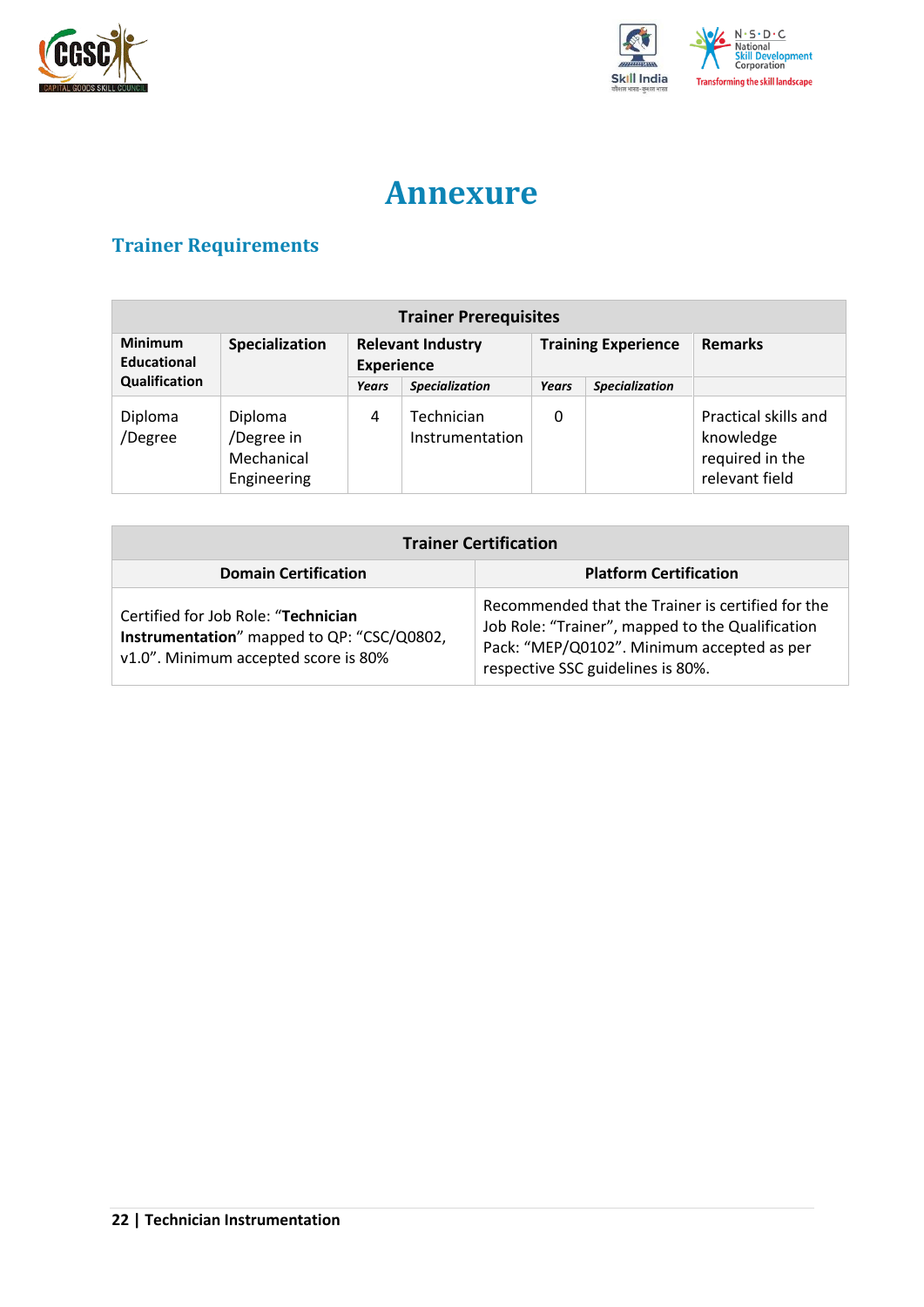



## **Annexure**

## <span id="page-21-1"></span><span id="page-21-0"></span>**Trainer Requirements**

| <b>Trainer Prerequisites</b>  |                                                    |                                               |                               |                            |                       |                                                                        |
|-------------------------------|----------------------------------------------------|-----------------------------------------------|-------------------------------|----------------------------|-----------------------|------------------------------------------------------------------------|
| <b>Minimum</b><br>Educational | Specialization                                     | <b>Relevant Industry</b><br><b>Experience</b> |                               | <b>Training Experience</b> |                       | <b>Remarks</b>                                                         |
| Qualification                 |                                                    | Years                                         | <b>Specialization</b>         | Years                      | <b>Specialization</b> |                                                                        |
| Diploma<br>/Degree            | Diploma<br>/Degree in<br>Mechanical<br>Engineering | 4                                             | Technician<br>Instrumentation | 0                          |                       | Practical skills and<br>knowledge<br>required in the<br>relevant field |

| <b>Trainer Certification</b>                                                                                              |                                                                                                                                                                                          |  |  |
|---------------------------------------------------------------------------------------------------------------------------|------------------------------------------------------------------------------------------------------------------------------------------------------------------------------------------|--|--|
| <b>Domain Certification</b>                                                                                               | <b>Platform Certification</b>                                                                                                                                                            |  |  |
| Certified for Job Role: "Technician<br>Instrumentation" mapped to QP: "CSC/Q0802,<br>v1.0". Minimum accepted score is 80% | Recommended that the Trainer is certified for the<br>Job Role: "Trainer", mapped to the Qualification<br>Pack: "MEP/Q0102". Minimum accepted as per<br>respective SSC guidelines is 80%. |  |  |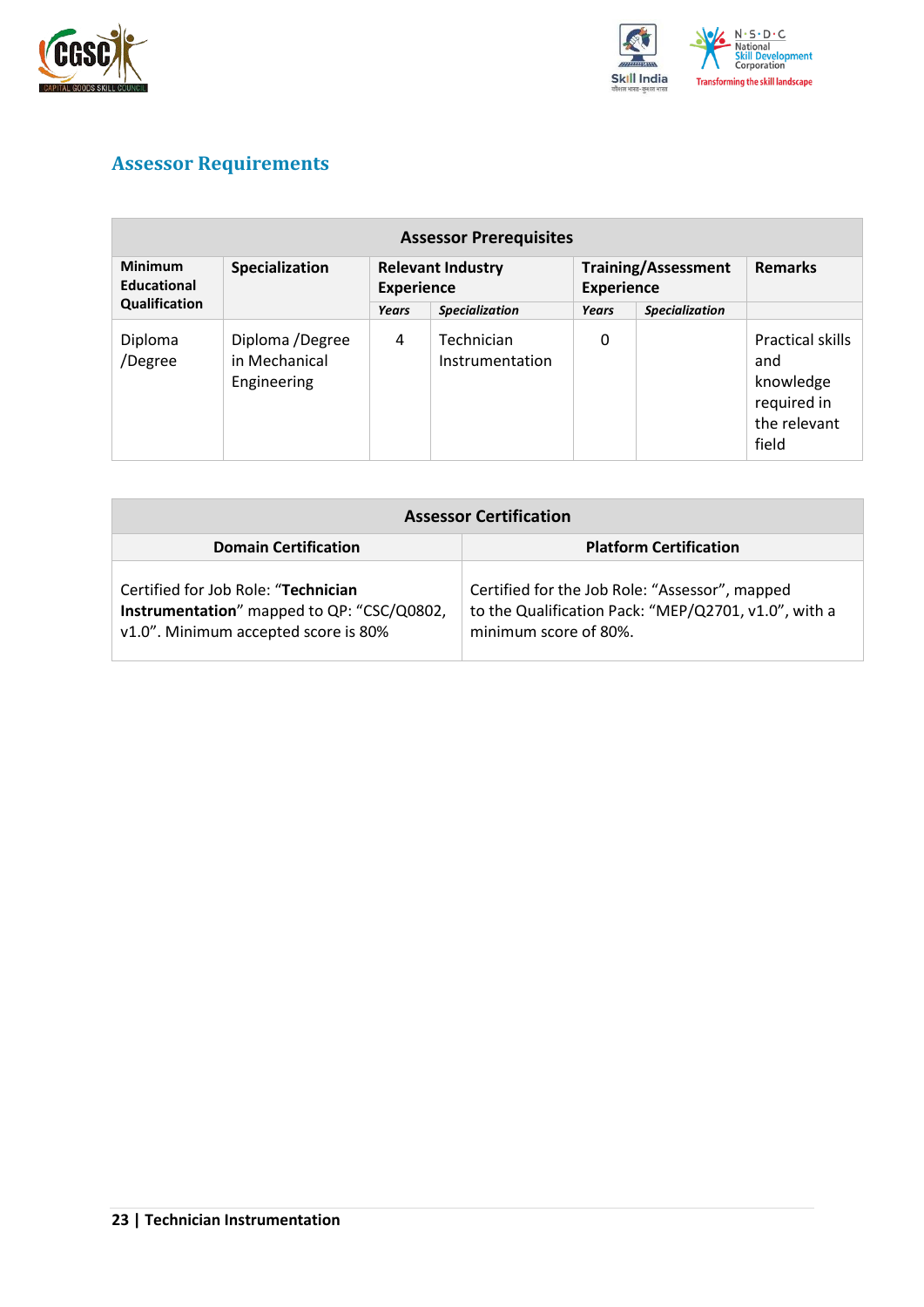



## <span id="page-22-0"></span>**Assessor Requirements**

| <b>Assessor Prerequisites</b>                         |                                                 |                                               |                               |                                                 |                       |                                                                              |  |
|-------------------------------------------------------|-------------------------------------------------|-----------------------------------------------|-------------------------------|-------------------------------------------------|-----------------------|------------------------------------------------------------------------------|--|
| <b>Minimum</b><br><b>Educational</b><br>Qualification | Specialization                                  | <b>Relevant Industry</b><br><b>Experience</b> |                               | <b>Training/Assessment</b><br><b>Experience</b> |                       | <b>Remarks</b>                                                               |  |
|                                                       |                                                 | Years                                         | <b>Specialization</b>         | Years                                           | <b>Specialization</b> |                                                                              |  |
| Diploma<br>/Degree                                    | Diploma /Degree<br>in Mechanical<br>Engineering | 4                                             | Technician<br>Instrumentation | 0                                               |                       | Practical skills<br>and<br>knowledge<br>required in<br>the relevant<br>field |  |

| <b>Assessor Certification</b>                                                                                             |                                                                                                                                 |  |  |  |
|---------------------------------------------------------------------------------------------------------------------------|---------------------------------------------------------------------------------------------------------------------------------|--|--|--|
| <b>Domain Certification</b>                                                                                               | <b>Platform Certification</b>                                                                                                   |  |  |  |
| Certified for Job Role: "Technician<br>Instrumentation" mapped to QP: "CSC/Q0802,<br>v1.0". Minimum accepted score is 80% | Certified for the Job Role: "Assessor", mapped<br>to the Qualification Pack: "MEP/Q2701, v1.0", with a<br>minimum score of 80%. |  |  |  |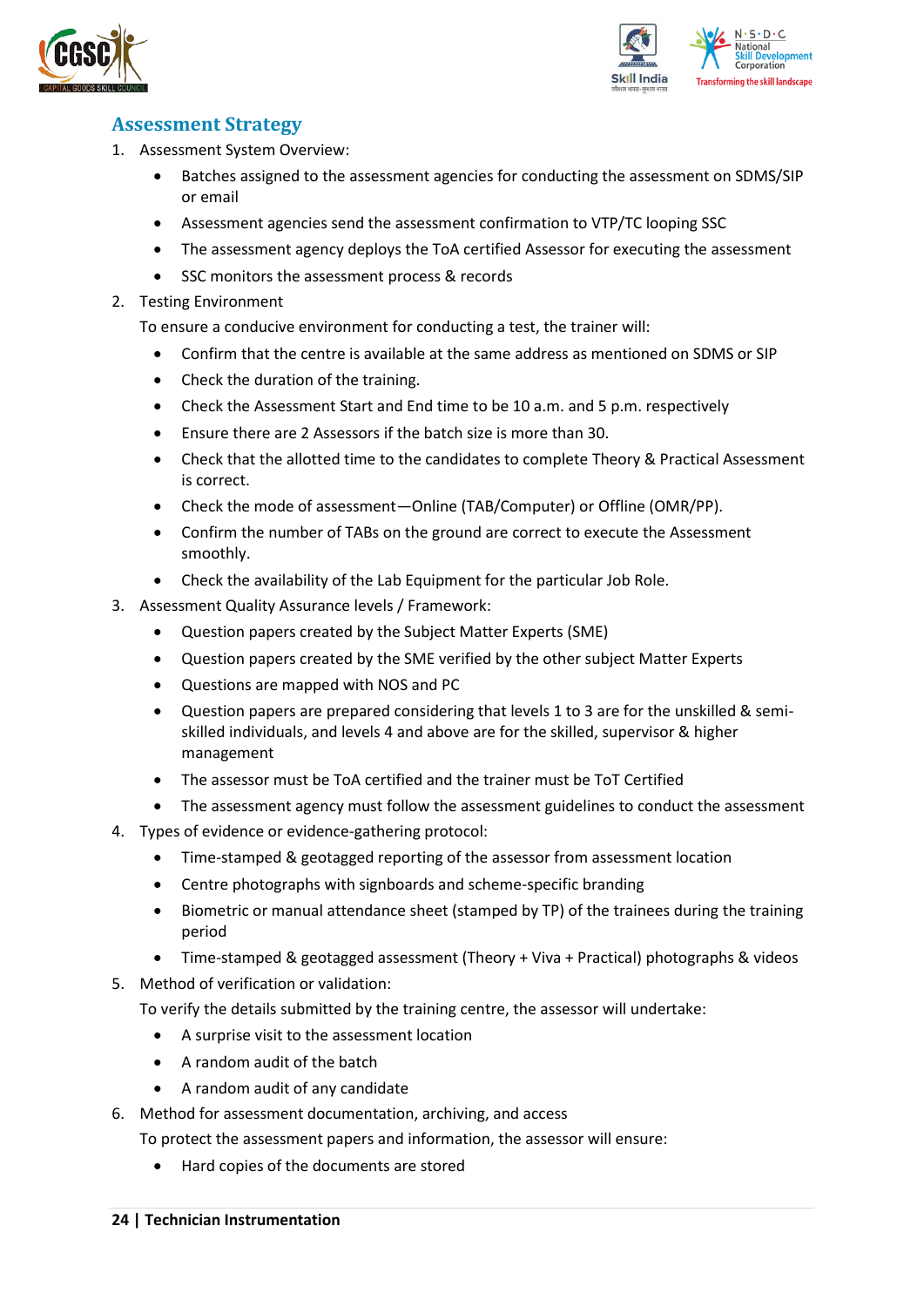



### <span id="page-23-0"></span>**Assessment Strategy**

- 1. Assessment System Overview:
	- Batches assigned to the assessment agencies for conducting the assessment on SDMS/SIP or email
	- Assessment agencies send the assessment confirmation to VTP/TC looping SSC
	- The assessment agency deploys the ToA certified Assessor for executing the assessment
	- SSC monitors the assessment process & records
- 2. Testing Environment

To ensure a conducive environment for conducting a test, the trainer will:

- Confirm that the centre is available at the same address as mentioned on SDMS or SIP
- Check the duration of the training.
- Check the Assessment Start and End time to be 10 a.m. and 5 p.m. respectively
- Ensure there are 2 Assessors if the batch size is more than 30.
- Check that the allotted time to the candidates to complete Theory & Practical Assessment is correct.
- Check the mode of assessment—Online (TAB/Computer) or Offline (OMR/PP).
- Confirm the number of TABs on the ground are correct to execute the Assessment smoothly.
- Check the availability of the Lab Equipment for the particular Job Role.
- 3. Assessment Quality Assurance levels / Framework:
	- Question papers created by the Subject Matter Experts (SME)
	- Question papers created by the SME verified by the other subject Matter Experts
	- Questions are mapped with NOS and PC
	- Question papers are prepared considering that levels 1 to 3 are for the unskilled & semiskilled individuals, and levels 4 and above are for the skilled, supervisor & higher management
	- The assessor must be ToA certified and the trainer must be ToT Certified
	- The assessment agency must follow the assessment guidelines to conduct the assessment
- 4. Types of evidence or evidence-gathering protocol:
	- Time-stamped & geotagged reporting of the assessor from assessment location
	- Centre photographs with signboards and scheme-specific branding
	- Biometric or manual attendance sheet (stamped by TP) of the trainees during the training period
	- Time-stamped & geotagged assessment (Theory + Viva + Practical) photographs & videos
- 5. Method of verification or validation:

To verify the details submitted by the training centre, the assessor will undertake:

- A surprise visit to the assessment location
- A random audit of the batch
- A random audit of any candidate
- 6. Method for assessment documentation, archiving, and access
	- To protect the assessment papers and information, the assessor will ensure:
		- Hard copies of the documents are stored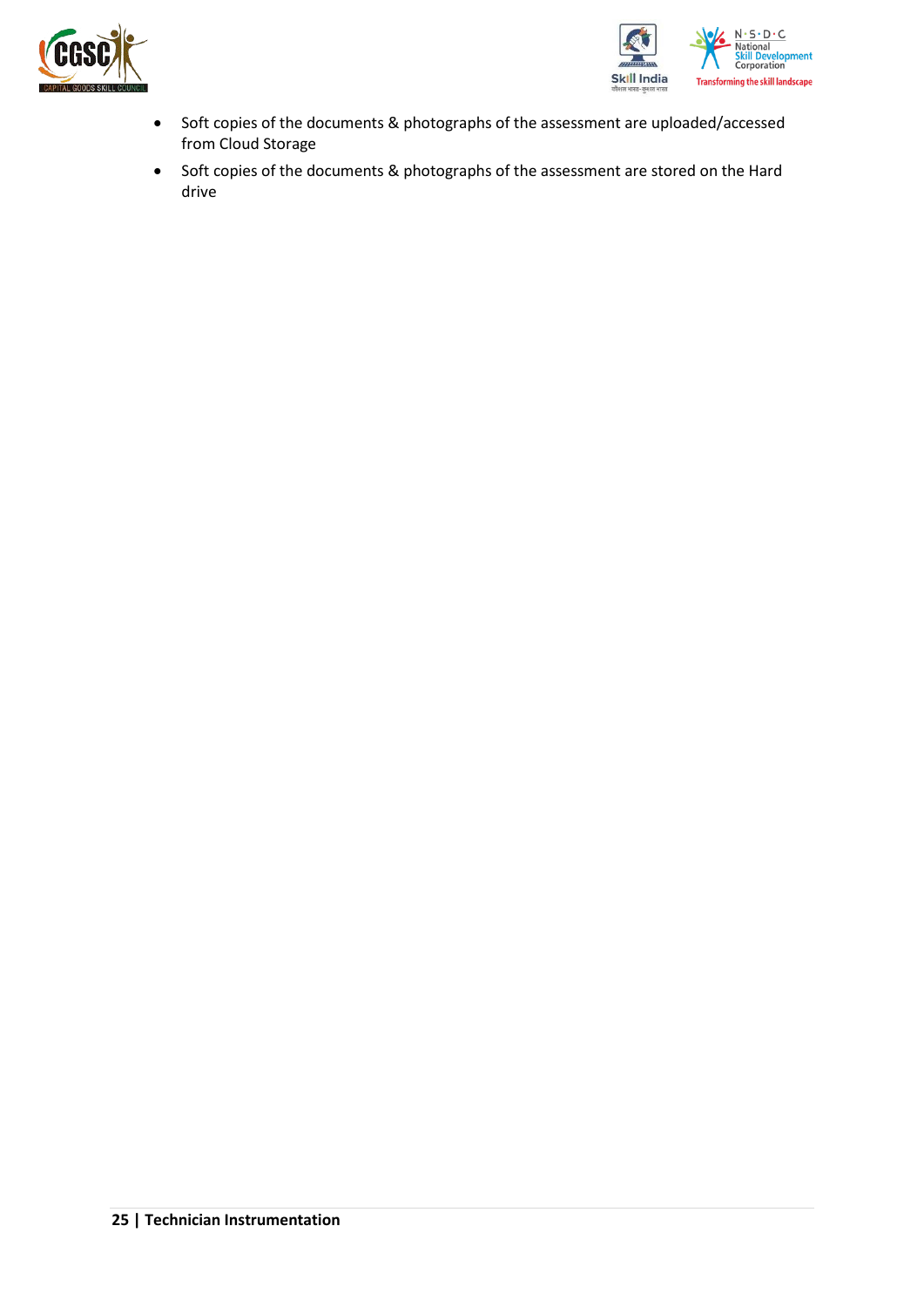



- Soft copies of the documents & photographs of the assessment are uploaded/accessed from Cloud Storage
- Soft copies of the documents & photographs of the assessment are stored on the Hard drive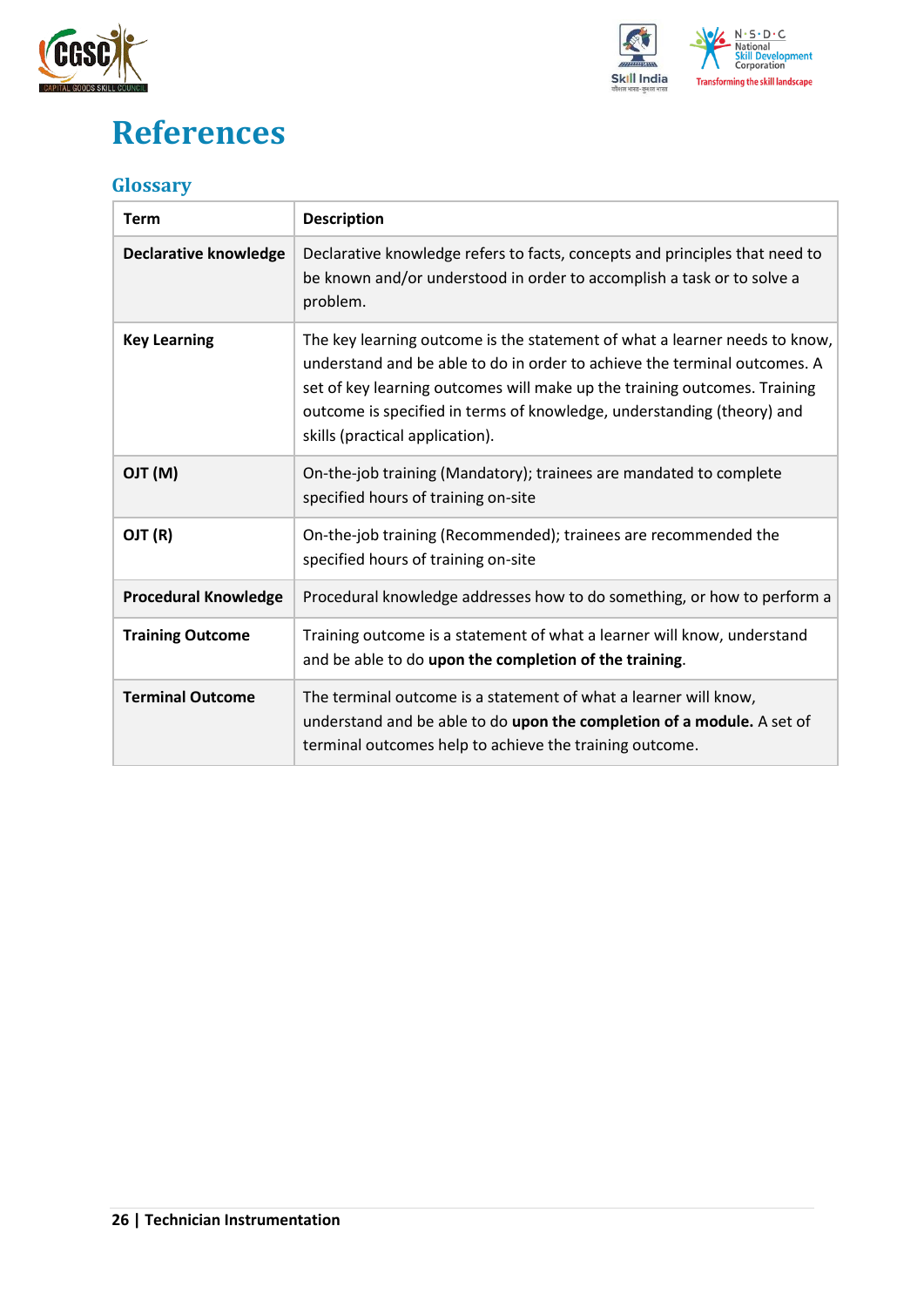



## <span id="page-25-0"></span>**References**

### <span id="page-25-1"></span>**Glossary**

| <b>Term</b>                  | <b>Description</b>                                                                                                                                                                                                                                                                                                                                |
|------------------------------|---------------------------------------------------------------------------------------------------------------------------------------------------------------------------------------------------------------------------------------------------------------------------------------------------------------------------------------------------|
| <b>Declarative knowledge</b> | Declarative knowledge refers to facts, concepts and principles that need to<br>be known and/or understood in order to accomplish a task or to solve a<br>problem.                                                                                                                                                                                 |
| <b>Key Learning</b>          | The key learning outcome is the statement of what a learner needs to know,<br>understand and be able to do in order to achieve the terminal outcomes. A<br>set of key learning outcomes will make up the training outcomes. Training<br>outcome is specified in terms of knowledge, understanding (theory) and<br>skills (practical application). |
| (M) TLO                      | On-the-job training (Mandatory); trainees are mandated to complete<br>specified hours of training on-site                                                                                                                                                                                                                                         |
| OJT (R)                      | On-the-job training (Recommended); trainees are recommended the<br>specified hours of training on-site                                                                                                                                                                                                                                            |
| <b>Procedural Knowledge</b>  | Procedural knowledge addresses how to do something, or how to perform a                                                                                                                                                                                                                                                                           |
| <b>Training Outcome</b>      | Training outcome is a statement of what a learner will know, understand<br>and be able to do upon the completion of the training.                                                                                                                                                                                                                 |
| <b>Terminal Outcome</b>      | The terminal outcome is a statement of what a learner will know,<br>understand and be able to do upon the completion of a module. A set of<br>terminal outcomes help to achieve the training outcome.                                                                                                                                             |